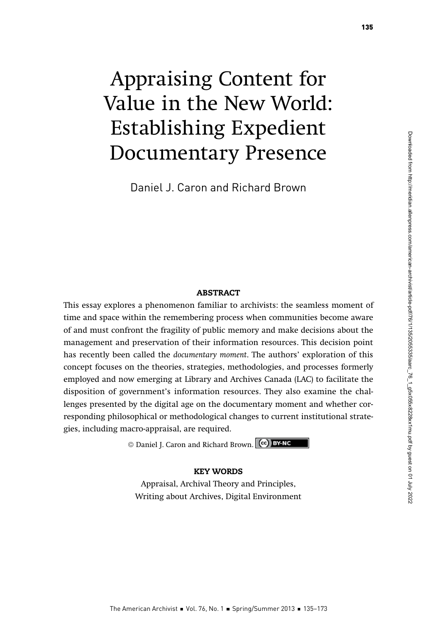# Appraising Content for Value in the New World: Establishing Expedient Documentary Presence

Daniel J. Caron and Richard Brown

#### ABSTRACT

This essay explores a phenomenon familiar to archivists: the seamless moment of time and space within the remembering process when communities become aware of and must confront the fragility of public memory and make decisions about the management and preservation of their information resources. This decision point has recently been called the documentary moment. The authors' exploration of this concept focuses on the theories, strategies, methodologies, and processes formerly employed and now emerging at Library and Archives Canada (LAC) to facilitate the disposition of government's information resources. They also examine the challenges presented by the digital age on the documentary moment and whether corresponding philosophical or methodological changes to current institutional strategies, including macro-appraisal, are required.

© Daniel J. Caron and Richard Brown.

#### KEY WORDS

Appraisal, Archival Theory and Principles, Writing about Archives, Digital Environment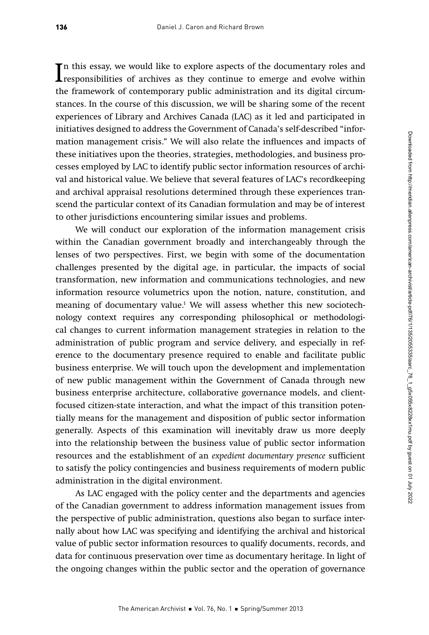In this essay, we would like to explore aspects of the documentary roles and responsibilities of archives as they continue to emerge and evolve within the framework of contemporary public edministration and its digital ci n this essay, we would like to explore aspects of the documentary roles and the framework of contemporary public administration and its digital circumstances. In the course of this discussion, we will be sharing some of the recent experiences of Library and Archives Canada (LAC) as it led and participated in initiatives designed to address the Government of Canada's self-described "information management crisis." We will also relate the influences and impacts of these initiatives upon the theories, strategies, methodologies, and business processes employed by LAC to identify public sector information resources of archival and historical value. We believe that several features of LAC's recordkeeping and archival appraisal resolutions determined through these experiences transcend the particular context of its Canadian formulation and may be of interest to other jurisdictions encountering similar issues and problems.

We will conduct our exploration of the information management crisis within the Canadian government broadly and interchangeably through the lenses of two perspectives. First, we begin with some of the documentation challenges presented by the digital age, in particular, the impacts of social transformation, new information and communications technologies, and new information resource volumetrics upon the notion, nature, constitution, and meaning of documentary value.1 We will assess whether this new sociotechnology context requires any corresponding philosophical or methodological changes to current information management strategies in relation to the administration of public program and service delivery, and especially in reference to the documentary presence required to enable and facilitate public business enterprise. We will touch upon the development and implementation of new public management within the Government of Canada through new business enterprise architecture, collaborative governance models, and clientfocused citizen-state interaction, and what the impact of this transition potentially means for the management and disposition of public sector information generally. Aspects of this examination will inevitably draw us more deeply into the relationship between the business value of public sector information resources and the establishment of an expedient documentary presence sufficient to satisfy the policy contingencies and business requirements of modern public administration in the digital environment.

As LAC engaged with the policy center and the departments and agencies of the Canadian government to address information management issues from the perspective of public administration, questions also began to surface internally about how LAC was specifying and identifying the archival and historical value of public sector information resources to qualify documents, records, and data for continuous preservation over time as documentary heritage. In light of the ongoing changes within the public sector and the operation of governance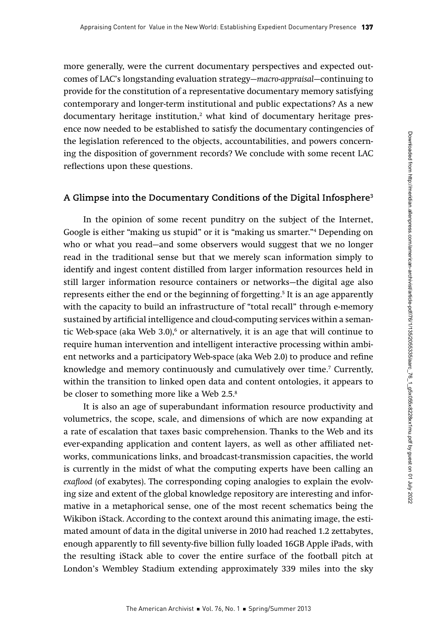more generally, were the current documentary perspectives and expected outcomes of LAC's longstanding evaluation strategy—macro-appraisal—continuing to provide for the constitution of a representative documentary memory satisfying contemporary and longer-term institutional and public expectations? As a new documentary heritage institution,2 what kind of documentary heritage presence now needed to be established to satisfy the documentary contingencies of the legislation referenced to the objects, accountabilities, and powers concerning the disposition of government records? We conclude with some recent LAC reflections upon these questions.

## **A Glimpse into the Documentary Conditions of the Digital Infosphere3**

In the opinion of some recent punditry on the subject of the Internet, Google is either "making us stupid" or it is "making us smarter."4 Depending on who or what you read—and some observers would suggest that we no longer read in the traditional sense but that we merely scan information simply to identify and ingest content distilled from larger information resources held in still larger information resource containers or networks—the digital age also represents either the end or the beginning of forgetting.5 It is an age apparently with the capacity to build an infrastructure of "total recall" through e-memory sustained by artificial intelligence and cloud-computing services within a semantic Web-space (aka Web 3.0),<sup>6</sup> or alternatively, it is an age that will continue to require human intervention and intelligent interactive processing within ambient networks and a participatory Web-space (aka Web 2.0) to produce and refine knowledge and memory continuously and cumulatively over time.7 Currently, within the transition to linked open data and content ontologies, it appears to be closer to something more like a Web 2.5.<sup>8</sup>

It is also an age of superabundant information resource productivity and volumetrics, the scope, scale, and dimensions of which are now expanding at a rate of escalation that taxes basic comprehension. Thanks to the Web and its ever-expanding application and content layers, as well as other affiliated networks, communications links, and broadcast-transmission capacities, the world is currently in the midst of what the computing experts have been calling an exaflood (of exabytes). The corresponding coping analogies to explain the evolving size and extent of the global knowledge repository are interesting and informative in a metaphorical sense, one of the most recent schematics being the Wikibon iStack. According to the context around this animating image, the estimated amount of data in the digital universe in 2010 had reached 1.2 zettabytes, enough apparently to fill seventy-five billion fully loaded 16GB Apple iPads, with the resulting iStack able to cover the entire surface of the football pitch at London's Wembley Stadium extending approximately 339 miles into the sky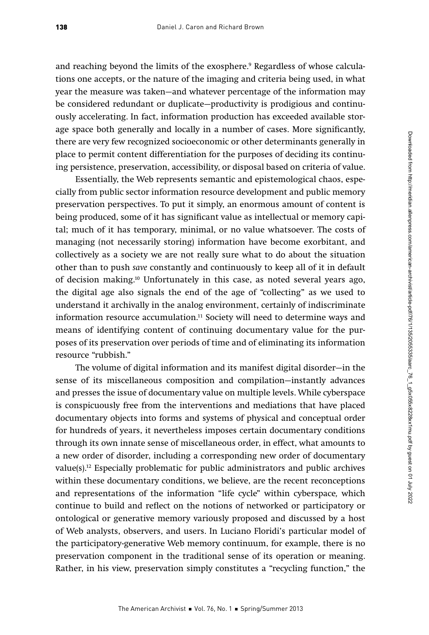and reaching beyond the limits of the exosphere.<sup>9</sup> Regardless of whose calculations one accepts, or the nature of the imaging and criteria being used, in what year the measure was taken—and whatever percentage of the information may be considered redundant or duplicate—productivity is prodigious and continuously accelerating. In fact, information production has exceeded available storage space both generally and locally in a number of cases. More significantly, there are very few recognized socioeconomic or other determinants generally in place to permit content differentiation for the purposes of deciding its continuing persistence, preservation, accessibility, or disposal based on criteria of value.

Essentially, the Web represents semantic and epistemological chaos, especially from public sector information resource development and public memory preservation perspectives. To put it simply, an enormous amount of content is being produced, some of it has significant value as intellectual or memory capital; much of it has temporary, minimal, or no value whatsoever. The costs of managing (not necessarily storing) information have become exorbitant, and collectively as a society we are not really sure what to do about the situation other than to push save constantly and continuously to keep all of it in default of decision making.10 Unfortunately in this case, as noted several years ago, the digital age also signals the end of the age of "collecting" as we used to understand it archivally in the analog environment, certainly of indiscriminate information resource accumulation.<sup>11</sup> Society will need to determine ways and means of identifying content of continuing documentary value for the purposes of its preservation over periods of time and of eliminating its information resource "rubbish."

The volume of digital information and its manifest digital disorder—in the sense of its miscellaneous composition and compilation—instantly advances and presses the issue of documentary value on multiple levels. While cyberspace is conspicuously free from the interventions and mediations that have placed documentary objects into forms and systems of physical and conceptual order for hundreds of years, it nevertheless imposes certain documentary conditions through its own innate sense of miscellaneous order, in effect, what amounts to a new order of disorder, including a corresponding new order of documentary value(s).12 Especially problematic for public administrators and public archives within these documentary conditions, we believe, are the recent reconceptions and representations of the information "life cycle" within cyberspace, which continue to build and reflect on the notions of networked or participatory or ontological or generative memory variously proposed and discussed by a host of Web analysts, observers, and users. In Luciano Floridi's particular model of the participatory-generative Web memory continuum, for example, there is no preservation component in the traditional sense of its operation or meaning. Rather, in his view, preservation simply constitutes a "recycling function," the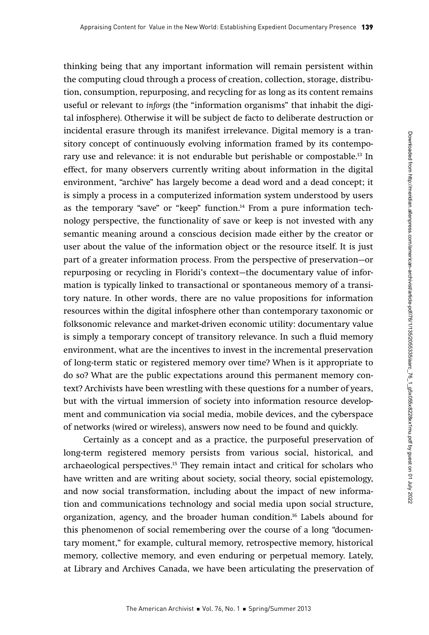thinking being that any important information will remain persistent within the computing cloud through a process of creation, collection, storage, distribution, consumption, repurposing, and recycling for as long as its content remains useful or relevant to inforgs (the "information organisms" that inhabit the digital infosphere). Otherwise it will be subject de facto to deliberate destruction or incidental erasure through its manifest irrelevance. Digital memory is a transitory concept of continuously evolving information framed by its contemporary use and relevance: it is not endurable but perishable or compostable.13 In effect, for many observers currently writing about information in the digital environment, "archive" has largely become a dead word and a dead concept; it is simply a process in a computerized information system understood by users as the temporary "save" or "keep" function.14 From a pure information technology perspective, the functionality of save or keep is not invested with any semantic meaning around a conscious decision made either by the creator or user about the value of the information object or the resource itself. It is just part of a greater information process. From the perspective of preservation—or repurposing or recycling in Floridi's context—the documentary value of information is typically linked to transactional or spontaneous memory of a transitory nature. In other words, there are no value propositions for information resources within the digital infosphere other than contemporary taxonomic or folksonomic relevance and market-driven economic utility: documentary value is simply a temporary concept of transitory relevance. In such a fluid memory environment, what are the incentives to invest in the incremental preservation of long-term static or registered memory over time? When is it appropriate to do so? What are the public expectations around this permanent memory context? Archivists have been wrestling with these questions for a number of years, but with the virtual immersion of society into information resource development and communication via social media, mobile devices, and the cyberspace of networks (wired or wireless), answers now need to be found and quickly.

Certainly as a concept and as a practice, the purposeful preservation of long-term registered memory persists from various social, historical, and archaeological perspectives.15 They remain intact and critical for scholars who have written and are writing about society, social theory, social epistemology, and now social transformation, including about the impact of new information and communications technology and social media upon social structure, organization, agency, and the broader human condition.16 Labels abound for this phenomenon of social remembering over the course of a long "documentary moment," for example, cultural memory, retrospective memory, historical memory, collective memory, and even enduring or perpetual memory. Lately, at Library and Archives Canada, we have been articulating the preservation of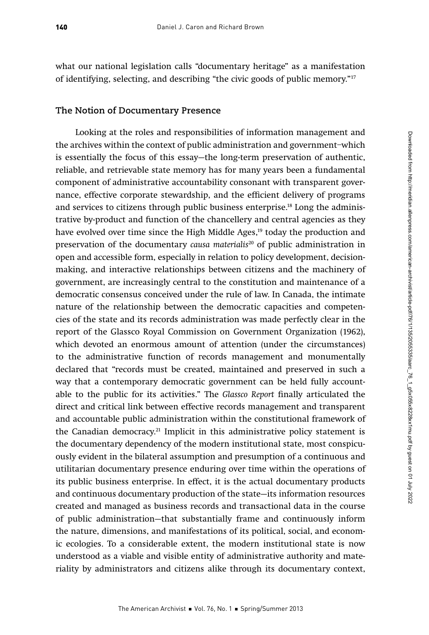what our national legislation calls "documentary heritage" as a manifestation of identifying, selecting, and describing "the civic goods of public memory."17

#### **The Notion of Documentary Presence**

Looking at the roles and responsibilities of information management and the archives within the context of public administration and government–which is essentially the focus of this essay—the long-term preservation of authentic, reliable, and retrievable state memory has for many years been a fundamental component of administrative accountability consonant with transparent governance, effective corporate stewardship, and the efficient delivery of programs and services to citizens through public business enterprise.<sup>18</sup> Long the administrative by-product and function of the chancellery and central agencies as they have evolved over time since the High Middle Ages,<sup>19</sup> today the production and preservation of the documentary *causa materialis*<sup>20</sup> of public administration in open and accessible form, especially in relation to policy development, decisionmaking, and interactive relationships between citizens and the machinery of government, are increasingly central to the constitution and maintenance of a democratic consensus conceived under the rule of law. In Canada, the intimate nature of the relationship between the democratic capacities and competencies of the state and its records administration was made perfectly clear in the report of the Glassco Royal Commission on Government Organization (1962), which devoted an enormous amount of attention (under the circumstances) to the administrative function of records management and monumentally declared that "records must be created, maintained and preserved in such a way that a contemporary democratic government can be held fully accountable to the public for its activities." The Glassco Report finally articulated the direct and critical link between effective records management and transparent and accountable public administration within the constitutional framework of the Canadian democracy.<sup>21</sup> Implicit in this administrative policy statement is the documentary dependency of the modern institutional state, most conspicuously evident in the bilateral assumption and presumption of a continuous and utilitarian documentary presence enduring over time within the operations of its public business enterprise. In effect, it is the actual documentary products and continuous documentary production of the state—its information resources created and managed as business records and transactional data in the course of public administration—that substantially frame and continuously inform the nature, dimensions, and manifestations of its political, social, and economic ecologies. To a considerable extent, the modern institutional state is now understood as a viable and visible entity of administrative authority and materiality by administrators and citizens alike through its documentary context,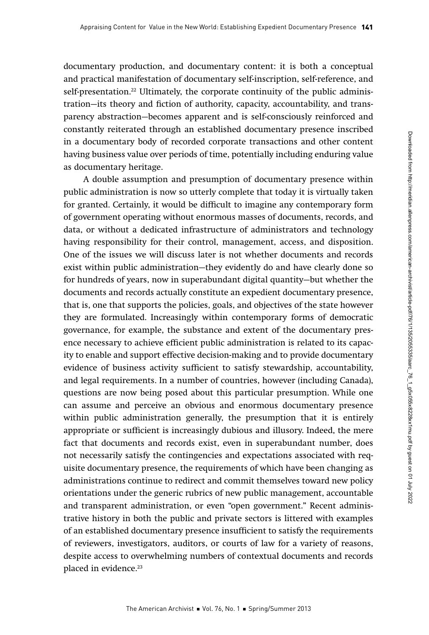documentary production, and documentary content: it is both a conceptual and practical manifestation of documentary self-inscription, self-reference, and self-presentation.<sup>22</sup> Ultimately, the corporate continuity of the public administration—its theory and fiction of authority, capacity, accountability, and transparency abstraction—becomes apparent and is self-consciously reinforced and constantly reiterated through an established documentary presence inscribed in a documentary body of recorded corporate transactions and other content having business value over periods of time, potentially including enduring value as documentary heritage.

A double assumption and presumption of documentary presence within public administration is now so utterly complete that today it is virtually taken for granted. Certainly, it would be difficult to imagine any contemporary form of government operating without enormous masses of documents, records, and data, or without a dedicated infrastructure of administrators and technology having responsibility for their control, management, access, and disposition. One of the issues we will discuss later is not whether documents and records exist within public administration—they evidently do and have clearly done so for hundreds of years, now in superabundant digital quantity—but whether the documents and records actually constitute an expedient documentary presence, that is, one that supports the policies, goals, and objectives of the state however they are formulated. Increasingly within contemporary forms of democratic governance, for example, the substance and extent of the documentary presence necessary to achieve efficient public administration is related to its capacity to enable and support effective decision-making and to provide documentary evidence of business activity sufficient to satisfy stewardship, accountability, and legal requirements. In a number of countries, however (including Canada), questions are now being posed about this particular presumption. While one can assume and perceive an obvious and enormous documentary presence within public administration generally, the presumption that it is entirely appropriate or sufficient is increasingly dubious and illusory. Indeed, the mere fact that documents and records exist, even in superabundant number, does not necessarily satisfy the contingencies and expectations associated with requisite documentary presence, the requirements of which have been changing as administrations continue to redirect and commit themselves toward new policy orientations under the generic rubrics of new public management, accountable and transparent administration, or even "open government." Recent administrative history in both the public and private sectors is littered with examples of an established documentary presence insufficient to satisfy the requirements of reviewers, investigators, auditors, or courts of law for a variety of reasons, despite access to overwhelming numbers of contextual documents and records placed in evidence.<sup>23</sup>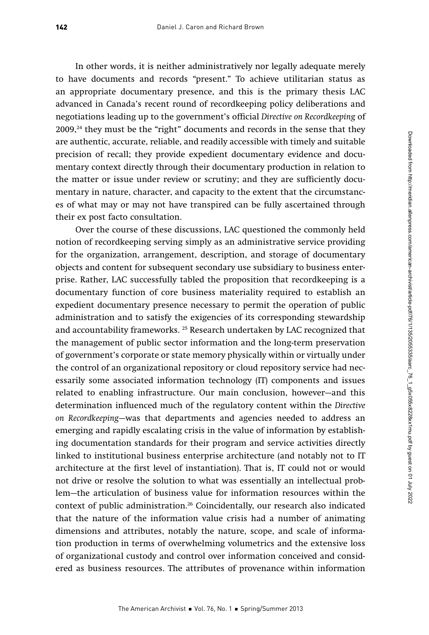In other words, it is neither administratively nor legally adequate merely to have documents and records "present." To achieve utilitarian status as an appropriate documentary presence, and this is the primary thesis LAC advanced in Canada's recent round of recordkeeping policy deliberations and negotiations leading up to the government's official Directive on Recordkeeping of  $2009<sup>24</sup>$  they must be the "right" documents and records in the sense that they are authentic, accurate, reliable, and readily accessible with timely and suitable precision of recall; they provide expedient documentary evidence and documentary context directly through their documentary production in relation to the matter or issue under review or scrutiny; and they are sufficiently documentary in nature, character, and capacity to the extent that the circumstances of what may or may not have transpired can be fully ascertained through their ex post facto consultation.

Over the course of these discussions, LAC questioned the commonly held notion of recordkeeping serving simply as an administrative service providing for the organization, arrangement, description, and storage of documentary objects and content for subsequent secondary use subsidiary to business enterprise. Rather, LAC successfully tabled the proposition that recordkeeping is a documentary function of core business materiality required to establish an expedient documentary presence necessary to permit the operation of public administration and to satisfy the exigencies of its corresponding stewardship and accountability frameworks. 25 Research undertaken by LAC recognized that the management of public sector information and the long-term preservation of government's corporate or state memory physically within or virtually under the control of an organizational repository or cloud repository service had necessarily some associated information technology (IT) components and issues related to enabling infrastructure. Our main conclusion, however—and this determination influenced much of the regulatory content within the Directive on Recordkeeping—was that departments and agencies needed to address an emerging and rapidly escalating crisis in the value of information by establishing documentation standards for their program and service activities directly linked to institutional business enterprise architecture (and notably not to IT architecture at the first level of instantiation). That is, IT could not or would not drive or resolve the solution to what was essentially an intellectual problem—the articulation of business value for information resources within the context of public administration.<sup>26</sup> Coincidentally, our research also indicated that the nature of the information value crisis had a number of animating dimensions and attributes, notably the nature, scope, and scale of information production in terms of overwhelming volumetrics and the extensive loss of organizational custody and control over information conceived and considered as business resources. The attributes of provenance within information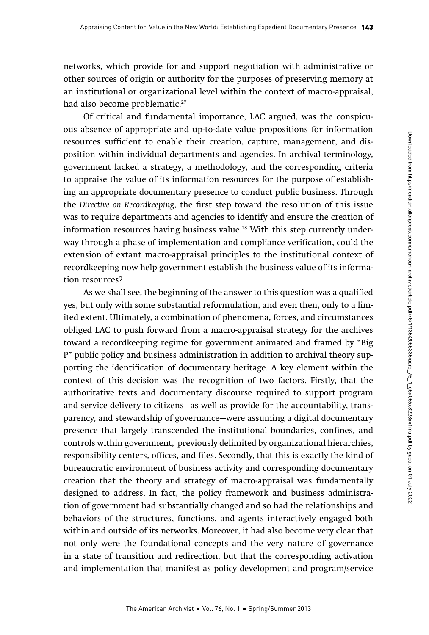networks, which provide for and support negotiation with administrative or other sources of origin or authority for the purposes of preserving memory at an institutional or organizational level within the context of macro-appraisal, had also become problematic.<sup>27</sup>

Of critical and fundamental importance, LAC argued, was the conspicuous absence of appropriate and up-to-date value propositions for information resources sufficient to enable their creation, capture, management, and disposition within individual departments and agencies. In archival terminology, government lacked a strategy, a methodology, and the corresponding criteria to appraise the value of its information resources for the purpose of establishing an appropriate documentary presence to conduct public business. Through the Directive on Recordkeeping, the first step toward the resolution of this issue was to require departments and agencies to identify and ensure the creation of information resources having business value.<sup>28</sup> With this step currently underway through a phase of implementation and compliance verification, could the extension of extant macro-appraisal principles to the institutional context of recordkeeping now help government establish the business value of its information resources?

As we shall see, the beginning of the answer to this question was a qualified yes, but only with some substantial reformulation, and even then, only to a limited extent. Ultimately, a combination of phenomena, forces, and circumstances obliged LAC to push forward from a macro-appraisal strategy for the archives toward a recordkeeping regime for government animated and framed by "Big P" public policy and business administration in addition to archival theory supporting the identification of documentary heritage. A key element within the context of this decision was the recognition of two factors. Firstly, that the authoritative texts and documentary discourse required to support program and service delivery to citizens—as well as provide for the accountability, transparency, and stewardship of governance—were assuming a digital documentary presence that largely transcended the institutional boundaries, confines, and controls within government, previously delimited by organizational hierarchies, responsibility centers, offices, and files. Secondly, that this is exactly the kind of bureaucratic environment of business activity and corresponding documentary creation that the theory and strategy of macro-appraisal was fundamentally designed to address. In fact, the policy framework and business administration of government had substantially changed and so had the relationships and behaviors of the structures, functions, and agents interactively engaged both within and outside of its networks. Moreover, it had also become very clear that not only were the foundational concepts and the very nature of governance in a state of transition and redirection, but that the corresponding activation and implementation that manifest as policy development and program/service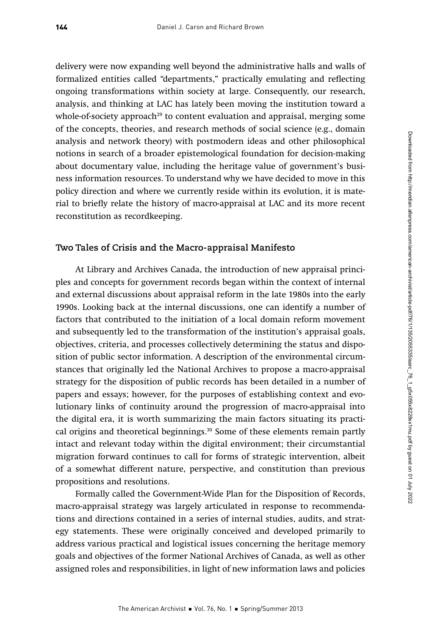delivery were now expanding well beyond the administrative halls and walls of formalized entities called "departments," practically emulating and reflecting ongoing transformations within society at large. Consequently, our research, analysis, and thinking at LAC has lately been moving the institution toward a whole-of-society approach<sup>29</sup> to content evaluation and appraisal, merging some of the concepts, theories, and research methods of social science (e.g., domain analysis and network theory) with postmodern ideas and other philosophical notions in search of a broader epistemological foundation for decision-making about documentary value, including the heritage value of government's business information resources. To understand why we have decided to move in this policy direction and where we currently reside within its evolution, it is material to briefly relate the history of macro-appraisal at LAC and its more recent reconstitution as recordkeeping.

#### **Two Tales of Crisis and the Macro-appraisal Manifesto**

At Library and Archives Canada, the introduction of new appraisal principles and concepts for government records began within the context of internal and external discussions about appraisal reform in the late 1980s into the early 1990s. Looking back at the internal discussions, one can identify a number of factors that contributed to the initiation of a local domain reform movement and subsequently led to the transformation of the institution's appraisal goals, objectives, criteria, and processes collectively determining the status and disposition of public sector information. A description of the environmental circumstances that originally led the National Archives to propose a macro-appraisal strategy for the disposition of public records has been detailed in a number of papers and essays; however, for the purposes of establishing context and evolutionary links of continuity around the progression of macro-appraisal into the digital era, it is worth summarizing the main factors situating its practical origins and theoretical beginnings.<sup>30</sup> Some of these elements remain partly intact and relevant today within the digital environment; their circumstantial migration forward continues to call for forms of strategic intervention, albeit of a somewhat different nature, perspective, and constitution than previous propositions and resolutions.

Formally called the Government-Wide Plan for the Disposition of Records, macro-appraisal strategy was largely articulated in response to recommendations and directions contained in a series of internal studies, audits, and strategy statements. These were originally conceived and developed primarily to address various practical and logistical issues concerning the heritage memory goals and objectives of the former National Archives of Canada, as well as other assigned roles and responsibilities, in light of new information laws and policies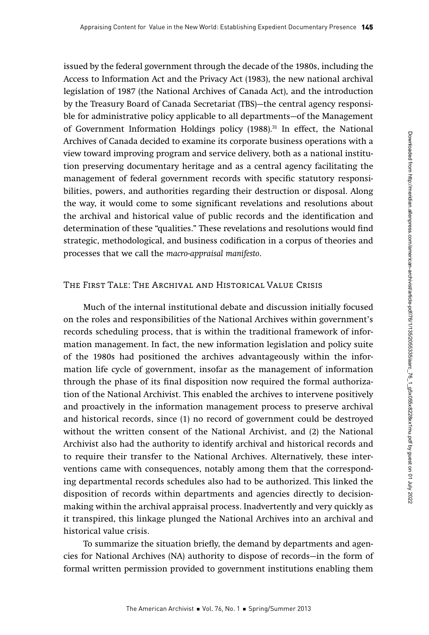issued by the federal government through the decade of the 1980s, including the Access to Information Act and the Privacy Act (1983), the new national archival legislation of 1987 (the National Archives of Canada Act), and the introduction by the Treasury Board of Canada Secretariat (TBS)—the central agency responsible for administrative policy applicable to all departments—of the Management of Government Information Holdings policy  $(1988)^{31}$  In effect, the National Archives of Canada decided to examine its corporate business operations with a view toward improving program and service delivery, both as a national institution preserving documentary heritage and as a central agency facilitating the management of federal government records with specific statutory responsibilities, powers, and authorities regarding their destruction or disposal. Along the way, it would come to some significant revelations and resolutions about the archival and historical value of public records and the identification and determination of these "qualities." These revelations and resolutions would find strategic, methodological, and business codification in a corpus of theories and processes that we call the macro-appraisal manifesto.

#### The First Tale: The Archival and Historical Value Crisis

Much of the internal institutional debate and discussion initially focused on the roles and responsibilities of the National Archives within government's records scheduling process, that is within the traditional framework of information management. In fact, the new information legislation and policy suite of the 1980s had positioned the archives advantageously within the information life cycle of government, insofar as the management of information through the phase of its final disposition now required the formal authorization of the National Archivist. This enabled the archives to intervene positively and proactively in the information management process to preserve archival and historical records, since (1) no record of government could be destroyed without the written consent of the National Archivist, and (2) the National Archivist also had the authority to identify archival and historical records and to require their transfer to the National Archives. Alternatively, these interventions came with consequences, notably among them that the corresponding departmental records schedules also had to be authorized. This linked the disposition of records within departments and agencies directly to decisionmaking within the archival appraisal process. Inadvertently and very quickly as it transpired, this linkage plunged the National Archives into an archival and historical value crisis.

To summarize the situation briefly, the demand by departments and agencies for National Archives (NA) authority to dispose of records—in the form of formal written permission provided to government institutions enabling them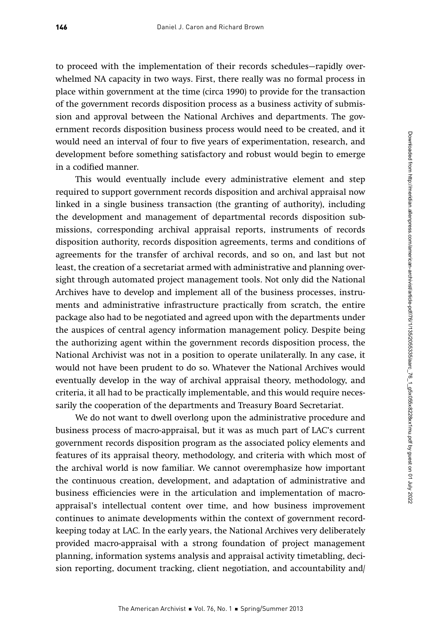to proceed with the implementation of their records schedules—rapidly overwhelmed NA capacity in two ways. First, there really was no formal process in place within government at the time (circa 1990) to provide for the transaction of the government records disposition process as a business activity of submission and approval between the National Archives and departments. The government records disposition business process would need to be created, and it would need an interval of four to five years of experimentation, research, and development before something satisfactory and robust would begin to emerge in a codified manner.

This would eventually include every administrative element and step required to support government records disposition and archival appraisal now linked in a single business transaction (the granting of authority), including the development and management of departmental records disposition submissions, corresponding archival appraisal reports, instruments of records disposition authority, records disposition agreements, terms and conditions of agreements for the transfer of archival records, and so on, and last but not least, the creation of a secretariat armed with administrative and planning oversight through automated project management tools. Not only did the National Archives have to develop and implement all of the business processes, instruments and administrative infrastructure practically from scratch, the entire package also had to be negotiated and agreed upon with the departments under the auspices of central agency information management policy. Despite being the authorizing agent within the government records disposition process, the National Archivist was not in a position to operate unilaterally. In any case, it would not have been prudent to do so. Whatever the National Archives would eventually develop in the way of archival appraisal theory, methodology, and criteria, it all had to be practically implementable, and this would require necessarily the cooperation of the departments and Treasury Board Secretariat.

We do not want to dwell overlong upon the administrative procedure and business process of macro-appraisal, but it was as much part of LAC's current government records disposition program as the associated policy elements and features of its appraisal theory, methodology, and criteria with which most of the archival world is now familiar. We cannot overemphasize how important the continuous creation, development, and adaptation of administrative and business efficiencies were in the articulation and implementation of macroappraisal's intellectual content over time, and how business improvement continues to animate developments within the context of government recordkeeping today at LAC. In the early years, the National Archives very deliberately provided macro-appraisal with a strong foundation of project management planning, information systems analysis and appraisal activity timetabling, decision reporting, document tracking, client negotiation, and accountability and/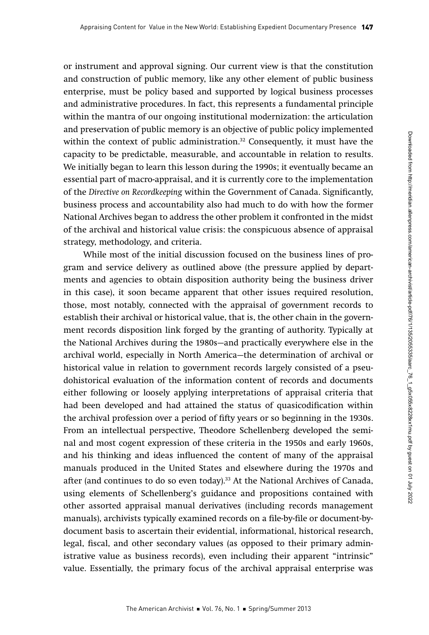or instrument and approval signing. Our current view is that the constitution and construction of public memory, like any other element of public business enterprise, must be policy based and supported by logical business processes and administrative procedures. In fact, this represents a fundamental principle within the mantra of our ongoing institutional modernization: the articulation and preservation of public memory is an objective of public policy implemented within the context of public administration. $32$  Consequently, it must have the capacity to be predictable, measurable, and accountable in relation to results. We initially began to learn this lesson during the 1990s; it eventually became an essential part of macro-appraisal, and it is currently core to the implementation of the Directive on Recordkeeping within the Government of Canada. Significantly, business process and accountability also had much to do with how the former National Archives began to address the other problem it confronted in the midst of the archival and historical value crisis: the conspicuous absence of appraisal strategy, methodology, and criteria.

While most of the initial discussion focused on the business lines of program and service delivery as outlined above (the pressure applied by departments and agencies to obtain disposition authority being the business driver in this case), it soon became apparent that other issues required resolution, those, most notably, connected with the appraisal of government records to establish their archival or historical value, that is, the other chain in the government records disposition link forged by the granting of authority. Typically at the National Archives during the 1980s—and practically everywhere else in the archival world, especially in North America—the determination of archival or historical value in relation to government records largely consisted of a pseudohistorical evaluation of the information content of records and documents either following or loosely applying interpretations of appraisal criteria that had been developed and had attained the status of quasicodification within the archival profession over a period of fifty years or so beginning in the 1930s. From an intellectual perspective, Theodore Schellenberg developed the seminal and most cogent expression of these criteria in the 1950s and early 1960s, and his thinking and ideas influenced the content of many of the appraisal manuals produced in the United States and elsewhere during the 1970s and after (and continues to do so even today).33 At the National Archives of Canada, using elements of Schellenberg's guidance and propositions contained with other assorted appraisal manual derivatives (including records management manuals), archivists typically examined records on a file-by-file or document-bydocument basis to ascertain their evidential, informational, historical research, legal, fiscal, and other secondary values (as opposed to their primary administrative value as business records), even including their apparent "intrinsic" value. Essentially, the primary focus of the archival appraisal enterprise was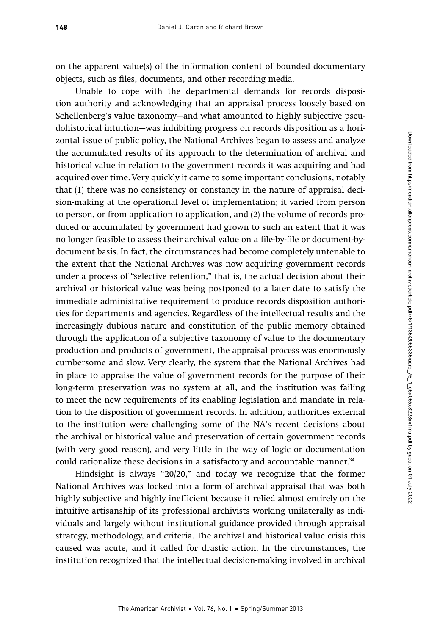on the apparent value(s) of the information content of bounded documentary objects, such as files, documents, and other recording media.

Unable to cope with the departmental demands for records disposition authority and acknowledging that an appraisal process loosely based on Schellenberg's value taxonomy—and what amounted to highly subjective pseudohistorical intuition—was inhibiting progress on records disposition as a horizontal issue of public policy, the National Archives began to assess and analyze the accumulated results of its approach to the determination of archival and historical value in relation to the government records it was acquiring and had acquired over time. Very quickly it came to some important conclusions, notably that (1) there was no consistency or constancy in the nature of appraisal decision-making at the operational level of implementation; it varied from person to person, or from application to application, and (2) the volume of records produced or accumulated by government had grown to such an extent that it was no longer feasible to assess their archival value on a file-by-file or document-bydocument basis. In fact, the circumstances had become completely untenable to the extent that the National Archives was now acquiring government records under a process of "selective retention," that is, the actual decision about their archival or historical value was being postponed to a later date to satisfy the immediate administrative requirement to produce records disposition authorities for departments and agencies. Regardless of the intellectual results and the increasingly dubious nature and constitution of the public memory obtained through the application of a subjective taxonomy of value to the documentary production and products of government, the appraisal process was enormously cumbersome and slow. Very clearly, the system that the National Archives had in place to appraise the value of government records for the purpose of their long-term preservation was no system at all, and the institution was failing to meet the new requirements of its enabling legislation and mandate in relation to the disposition of government records. In addition, authorities external to the institution were challenging some of the NA's recent decisions about the archival or historical value and preservation of certain government records (with very good reason), and very little in the way of logic or documentation could rationalize these decisions in a satisfactory and accountable manner.<sup>34</sup>

Hindsight is always "20/20," and today we recognize that the former National Archives was locked into a form of archival appraisal that was both highly subjective and highly inefficient because it relied almost entirely on the intuitive artisanship of its professional archivists working unilaterally as individuals and largely without institutional guidance provided through appraisal strategy, methodology, and criteria. The archival and historical value crisis this caused was acute, and it called for drastic action. In the circumstances, the institution recognized that the intellectual decision-making involved in archival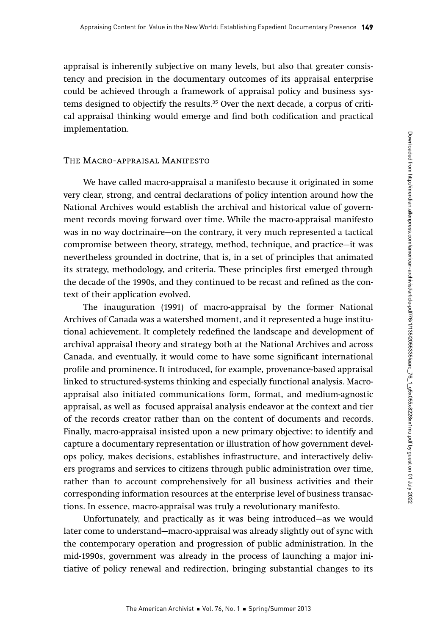appraisal is inherently subjective on many levels, but also that greater consistency and precision in the documentary outcomes of its appraisal enterprise could be achieved through a framework of appraisal policy and business systems designed to objectify the results.35 Over the next decade, a corpus of critical appraisal thinking would emerge and find both codification and practical implementation.

#### The Macro-appraisal Manifesto

We have called macro-appraisal a manifesto because it originated in some very clear, strong, and central declarations of policy intention around how the National Archives would establish the archival and historical value of government records moving forward over time. While the macro-appraisal manifesto was in no way doctrinaire—on the contrary, it very much represented a tactical compromise between theory, strategy, method, technique, and practice—it was nevertheless grounded in doctrine, that is, in a set of principles that animated its strategy, methodology, and criteria. These principles first emerged through the decade of the 1990s, and they continued to be recast and refined as the context of their application evolved.

The inauguration (1991) of macro-appraisal by the former National Archives of Canada was a watershed moment, and it represented a huge institutional achievement. It completely redefined the landscape and development of archival appraisal theory and strategy both at the National Archives and across Canada, and eventually, it would come to have some significant international profile and prominence. It introduced, for example, provenance-based appraisal linked to structured-systems thinking and especially functional analysis. Macroappraisal also initiated communications form, format, and medium-agnostic appraisal, as well as focused appraisal analysis endeavor at the context and tier of the records creator rather than on the content of documents and records. Finally, macro-appraisal insisted upon a new primary objective: to identify and capture a documentary representation or illustration of how government develops policy, makes decisions, establishes infrastructure, and interactively delivers programs and services to citizens through public administration over time, rather than to account comprehensively for all business activities and their corresponding information resources at the enterprise level of business transactions. In essence, macro-appraisal was truly a revolutionary manifesto.

Unfortunately, and practically as it was being introduced—as we would later come to understand—macro-appraisal was already slightly out of sync with the contemporary operation and progression of public administration. In the mid-1990s, government was already in the process of launching a major initiative of policy renewal and redirection, bringing substantial changes to its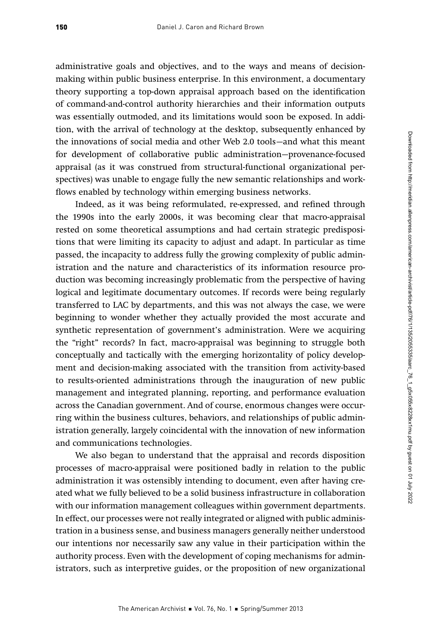administrative goals and objectives, and to the ways and means of decisionmaking within public business enterprise. In this environment, a documentary theory supporting a top-down appraisal approach based on the identification of command-and-control authority hierarchies and their information outputs was essentially outmoded, and its limitations would soon be exposed. In addition, with the arrival of technology at the desktop, subsequently enhanced by the innovations of social media and other Web 2.0 tools—and what this meant for development of collaborative public administration—provenance-focused appraisal (as it was construed from structural-functional organizational perspectives) was unable to engage fully the new semantic relationships and workflows enabled by technology within emerging business networks.

Indeed, as it was being reformulated, re-expressed, and refined through the 1990s into the early 2000s, it was becoming clear that macro-appraisal rested on some theoretical assumptions and had certain strategic predispositions that were limiting its capacity to adjust and adapt. In particular as time passed, the incapacity to address fully the growing complexity of public administration and the nature and characteristics of its information resource production was becoming increasingly problematic from the perspective of having logical and legitimate documentary outcomes. If records were being regularly transferred to LAC by departments, and this was not always the case, we were beginning to wonder whether they actually provided the most accurate and synthetic representation of government's administration. Were we acquiring the "right" records? In fact, macro-appraisal was beginning to struggle both conceptually and tactically with the emerging horizontality of policy development and decision-making associated with the transition from activity-based to results-oriented administrations through the inauguration of new public management and integrated planning, reporting, and performance evaluation across the Canadian government. And of course, enormous changes were occurring within the business cultures, behaviors, and relationships of public administration generally, largely coincidental with the innovation of new information and communications technologies.

We also began to understand that the appraisal and records disposition processes of macro-appraisal were positioned badly in relation to the public administration it was ostensibly intending to document, even after having created what we fully believed to be a solid business infrastructure in collaboration with our information management colleagues within government departments. In effect, our processes were not really integrated or aligned with public administration in a business sense, and business managers generally neither understood our intentions nor necessarily saw any value in their participation within the authority process. Even with the development of coping mechanisms for administrators, such as interpretive guides, or the proposition of new organizational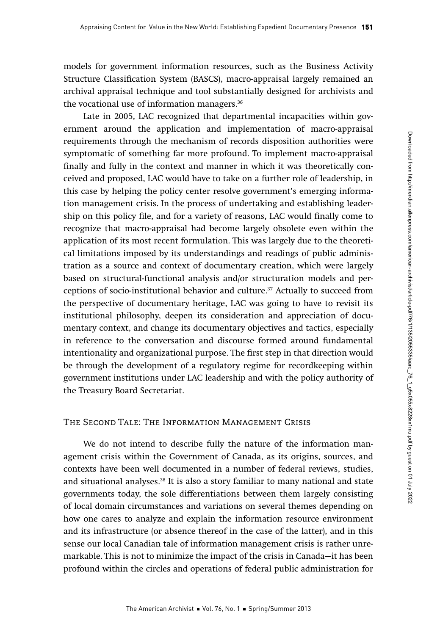models for government information resources, such as the Business Activity Structure Classification System (BASCS), macro-appraisal largely remained an archival appraisal technique and tool substantially designed for archivists and the vocational use of information managers.<sup>36</sup>

Late in 2005, LAC recognized that departmental incapacities within government around the application and implementation of macro-appraisal requirements through the mechanism of records disposition authorities were symptomatic of something far more profound. To implement macro-appraisal finally and fully in the context and manner in which it was theoretically conceived and proposed, LAC would have to take on a further role of leadership, in this case by helping the policy center resolve government's emerging information management crisis. In the process of undertaking and establishing leadership on this policy file, and for a variety of reasons, LAC would finally come to recognize that macro-appraisal had become largely obsolete even within the application of its most recent formulation. This was largely due to the theoretical limitations imposed by its understandings and readings of public administration as a source and context of documentary creation, which were largely based on structural-functional analysis and/or structuration models and perceptions of socio-institutional behavior and culture.37 Actually to succeed from the perspective of documentary heritage, LAC was going to have to revisit its institutional philosophy, deepen its consideration and appreciation of documentary context, and change its documentary objectives and tactics, especially in reference to the conversation and discourse formed around fundamental intentionality and organizational purpose. The first step in that direction would be through the development of a regulatory regime for recordkeeping within government institutions under LAC leadership and with the policy authority of the Treasury Board Secretariat.

### The Second Tale: The Information Management Crisis

We do not intend to describe fully the nature of the information management crisis within the Government of Canada, as its origins, sources, and contexts have been well documented in a number of federal reviews, studies, and situational analyses.38 It is also a story familiar to many national and state governments today, the sole differentiations between them largely consisting of local domain circumstances and variations on several themes depending on how one cares to analyze and explain the information resource environment and its infrastructure (or absence thereof in the case of the latter), and in this sense our local Canadian tale of information management crisis is rather unremarkable. This is not to minimize the impact of the crisis in Canada—it has been profound within the circles and operations of federal public administration for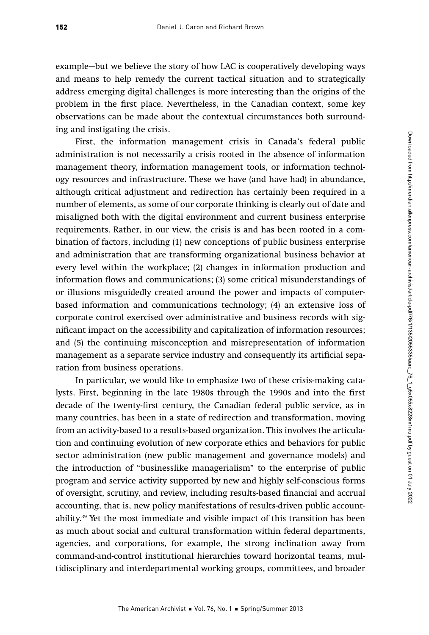example—but we believe the story of how LAC is cooperatively developing ways and means to help remedy the current tactical situation and to strategically address emerging digital challenges is more interesting than the origins of the problem in the first place. Nevertheless, in the Canadian context, some key observations can be made about the contextual circumstances both surrounding and instigating the crisis.

First, the information management crisis in Canada's federal public administration is not necessarily a crisis rooted in the absence of information management theory, information management tools, or information technology resources and infrastructure. These we have (and have had) in abundance, although critical adjustment and redirection has certainly been required in a number of elements, as some of our corporate thinking is clearly out of date and misaligned both with the digital environment and current business enterprise requirements. Rather, in our view, the crisis is and has been rooted in a combination of factors, including (1) new conceptions of public business enterprise and administration that are transforming organizational business behavior at every level within the workplace; (2) changes in information production and information flows and communications; (3) some critical misunderstandings of or illusions misguidedly created around the power and impacts of computerbased information and communications technology; (4) an extensive loss of corporate control exercised over administrative and business records with significant impact on the accessibility and capitalization of information resources; and (5) the continuing misconception and misrepresentation of information management as a separate service industry and consequently its artificial separation from business operations.

In particular, we would like to emphasize two of these crisis-making catalysts. First, beginning in the late 1980s through the 1990s and into the first decade of the twenty-first century, the Canadian federal public service, as in many countries, has been in a state of redirection and transformation, moving from an activity-based to a results-based organization. This involves the articulation and continuing evolution of new corporate ethics and behaviors for public sector administration (new public management and governance models) and the introduction of "businesslike managerialism" to the enterprise of public program and service activity supported by new and highly self-conscious forms of oversight, scrutiny, and review, including results-based financial and accrual accounting, that is, new policy manifestations of results-driven public accountability.39 Yet the most immediate and visible impact of this transition has been as much about social and cultural transformation within federal departments, agencies, and corporations, for example, the strong inclination away from command-and-control institutional hierarchies toward horizontal teams, multidisciplinary and interdepartmental working groups, committees, and broader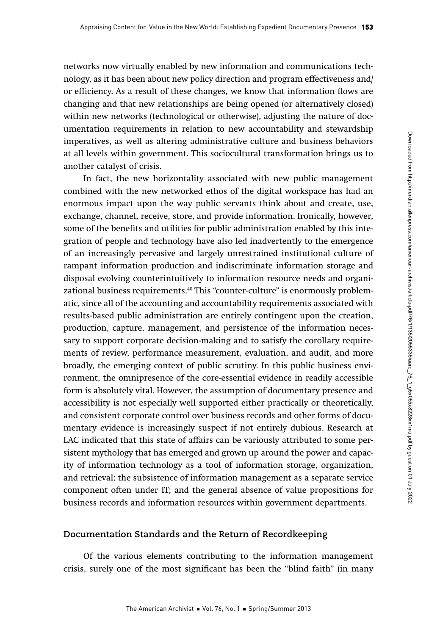networks now virtually enabled by new information and communications technology, as it has been about new policy direction and program effectiveness and/ or efficiency. As a result of these changes, we know that information flows are changing and that new relationships are being opened (or alternatively closed) within new networks (technological or otherwise), adjusting the nature of documentation requirements in relation to new accountability and stewardship imperatives, as well as altering administrative culture and business behaviors at all levels within government. This sociocultural transformation brings us to another catalyst of crisis.

In fact, the new horizontality associated with new public management combined with the new networked ethos of the digital workspace has had an enormous impact upon the way public servants think about and create, use, exchange, channel, receive, store, and provide information. Ironically, however, some of the benefits and utilities for public administration enabled by this integration of people and technology have also led inadvertently to the emergence of an increasingly pervasive and largely unrestrained institutional culture of rampant information production and indiscriminate information storage and disposal evolving counterintuitively to information resource needs and organizational business requirements.40 This "counter-culture" is enormously problematic, since all of the accounting and accountability requirements associated with results-based public administration are entirely contingent upon the creation, production, capture, management, and persistence of the information necessary to support corporate decision-making and to satisfy the corollary requirements of review, performance measurement, evaluation, and audit, and more broadly, the emerging context of public scrutiny. In this public business environment, the omnipresence of the core-essential evidence in readily accessible form is absolutely vital. However, the assumption of documentary presence and accessibility is not especially well supported either practically or theoretically, and consistent corporate control over business records and other forms of documentary evidence is increasingly suspect if not entirely dubious. Research at LAC indicated that this state of affairs can be variously attributed to some persistent mythology that has emerged and grown up around the power and capacity of information technology as a tool of information storage, organization, and retrieval; the subsistence of information management as a separate service component often under IT; and the general absence of value propositions for business records and information resources within government departments.

#### **Documentation Standards and the Return of Recordkeeping**

Of the various elements contributing to the information management crisis, surely one of the most significant has been the "blind faith" (in many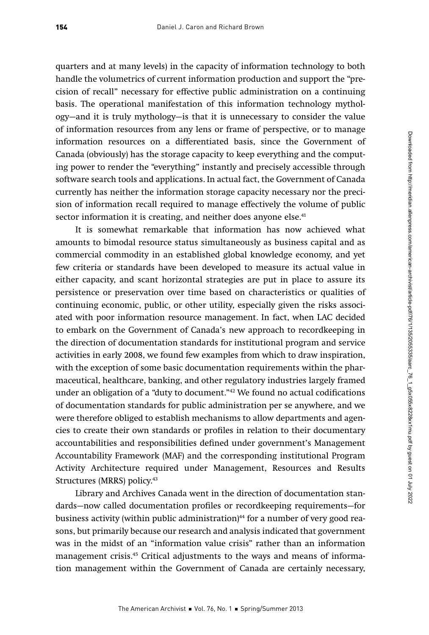quarters and at many levels) in the capacity of information technology to both handle the volumetrics of current information production and support the "precision of recall" necessary for effective public administration on a continuing basis. The operational manifestation of this information technology mythology—and it is truly mythology—is that it is unnecessary to consider the value of information resources from any lens or frame of perspective, or to manage information resources on a differentiated basis, since the Government of Canada (obviously) has the storage capacity to keep everything and the computing power to render the "everything" instantly and precisely accessible through software search tools and applications. In actual fact, the Government of Canada currently has neither the information storage capacity necessary nor the precision of information recall required to manage effectively the volume of public sector information it is creating, and neither does anyone else.<sup>41</sup>

It is somewhat remarkable that information has now achieved what amounts to bimodal resource status simultaneously as business capital and as commercial commodity in an established global knowledge economy, and yet few criteria or standards have been developed to measure its actual value in either capacity, and scant horizontal strategies are put in place to assure its persistence or preservation over time based on characteristics or qualities of continuing economic, public, or other utility, especially given the risks associated with poor information resource management. In fact, when LAC decided to embark on the Government of Canada's new approach to recordkeeping in the direction of documentation standards for institutional program and service activities in early 2008, we found few examples from which to draw inspiration, with the exception of some basic documentation requirements within the pharmaceutical, healthcare, banking, and other regulatory industries largely framed under an obligation of a "duty to document."42 We found no actual codifications of documentation standards for public administration per se anywhere, and we were therefore obliged to establish mechanisms to allow departments and agencies to create their own standards or profiles in relation to their documentary accountabilities and responsibilities defined under government's Management Accountability Framework (MAF) and the corresponding institutional Program Activity Architecture required under Management, Resources and Results Structures (MRRS) policy.43

Library and Archives Canada went in the direction of documentation standards—now called documentation profiles or recordkeeping requirements—for business activity (within public administration)<sup>44</sup> for a number of very good reasons, but primarily because our research and analysis indicated that government was in the midst of an "information value crisis" rather than an information management crisis.<sup>45</sup> Critical adjustments to the ways and means of information management within the Government of Canada are certainly necessary,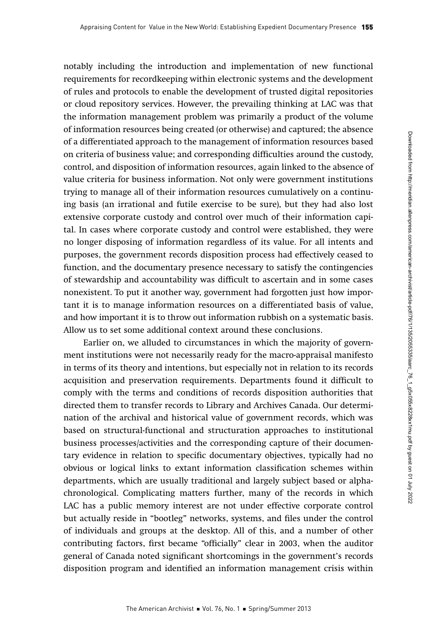notably including the introduction and implementation of new functional requirements for recordkeeping within electronic systems and the development of rules and protocols to enable the development of trusted digital repositories or cloud repository services. However, the prevailing thinking at LAC was that the information management problem was primarily a product of the volume of information resources being created (or otherwise) and captured; the absence of a differentiated approach to the management of information resources based on criteria of business value; and corresponding difficulties around the custody, control, and disposition of information resources, again linked to the absence of value criteria for business information. Not only were government institutions trying to manage all of their information resources cumulatively on a continuing basis (an irrational and futile exercise to be sure), but they had also lost extensive corporate custody and control over much of their information capital. In cases where corporate custody and control were established, they were no longer disposing of information regardless of its value. For all intents and purposes, the government records disposition process had effectively ceased to function, and the documentary presence necessary to satisfy the contingencies of stewardship and accountability was difficult to ascertain and in some cases nonexistent. To put it another way, government had forgotten just how important it is to manage information resources on a differentiated basis of value, and how important it is to throw out information rubbish on a systematic basis. Allow us to set some additional context around these conclusions.

Earlier on, we alluded to circumstances in which the majority of government institutions were not necessarily ready for the macro-appraisal manifesto in terms of its theory and intentions, but especially not in relation to its records acquisition and preservation requirements. Departments found it difficult to comply with the terms and conditions of records disposition authorities that directed them to transfer records to Library and Archives Canada. Our determination of the archival and historical value of government records, which was based on structural-functional and structuration approaches to institutional business processes/activities and the corresponding capture of their documentary evidence in relation to specific documentary objectives, typically had no obvious or logical links to extant information classification schemes within departments, which are usually traditional and largely subject based or alphachronological. Complicating matters further, many of the records in which LAC has a public memory interest are not under effective corporate control but actually reside in "bootleg" networks, systems, and files under the control of individuals and groups at the desktop. All of this, and a number of other contributing factors, first became "officially" clear in 2003, when the auditor general of Canada noted significant shortcomings in the government's records disposition program and identified an information management crisis within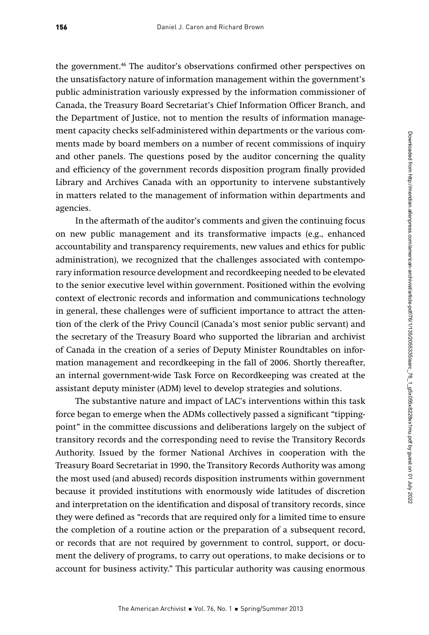the government.<sup>46</sup> The auditor's observations confirmed other perspectives on the unsatisfactory nature of information management within the government's public administration variously expressed by the information commissioner of Canada, the Treasury Board Secretariat's Chief Information Officer Branch, and the Department of Justice, not to mention the results of information management capacity checks self-administered within departments or the various comments made by board members on a number of recent commissions of inquiry and other panels. The questions posed by the auditor concerning the quality and efficiency of the government records disposition program finally provided Library and Archives Canada with an opportunity to intervene substantively in matters related to the management of information within departments and agencies.

In the aftermath of the auditor's comments and given the continuing focus on new public management and its transformative impacts (e.g., enhanced accountability and transparency requirements, new values and ethics for public administration), we recognized that the challenges associated with contemporary information resource development and recordkeeping needed to be elevated to the senior executive level within government. Positioned within the evolving context of electronic records and information and communications technology in general, these challenges were of sufficient importance to attract the attention of the clerk of the Privy Council (Canada's most senior public servant) and the secretary of the Treasury Board who supported the librarian and archivist of Canada in the creation of a series of Deputy Minister Roundtables on information management and recordkeeping in the fall of 2006. Shortly thereafter, an internal government-wide Task Force on Recordkeeping was created at the assistant deputy minister (ADM) level to develop strategies and solutions.

The substantive nature and impact of LAC's interventions within this task force began to emerge when the ADMs collectively passed a significant "tippingpoint" in the committee discussions and deliberations largely on the subject of transitory records and the corresponding need to revise the Transitory Records Authority. Issued by the former National Archives in cooperation with the Treasury Board Secretariat in 1990, the Transitory Records Authority was among the most used (and abused) records disposition instruments within government because it provided institutions with enormously wide latitudes of discretion and interpretation on the identification and disposal of transitory records, since they were defined as "records that are required only for a limited time to ensure the completion of a routine action or the preparation of a subsequent record, or records that are not required by government to control, support, or document the delivery of programs, to carry out operations, to make decisions or to account for business activity." This particular authority was causing enormous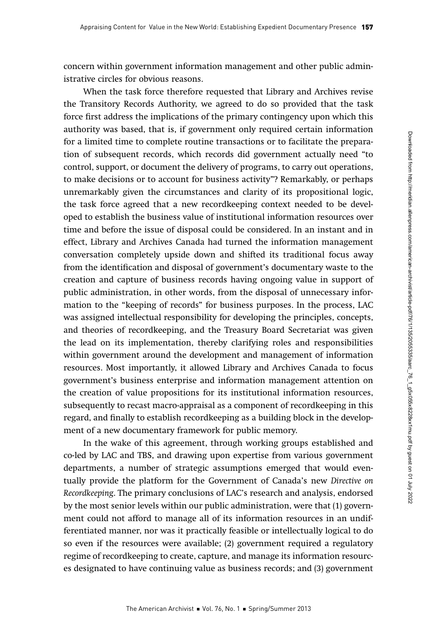concern within government information management and other public administrative circles for obvious reasons.

When the task force therefore requested that Library and Archives revise the Transitory Records Authority, we agreed to do so provided that the task force first address the implications of the primary contingency upon which this authority was based, that is, if government only required certain information for a limited time to complete routine transactions or to facilitate the preparation of subsequent records, which records did government actually need "to control, support, or document the delivery of programs, to carry out operations, to make decisions or to account for business activity"? Remarkably, or perhaps unremarkably given the circumstances and clarity of its propositional logic, the task force agreed that a new recordkeeping context needed to be developed to establish the business value of institutional information resources over time and before the issue of disposal could be considered. In an instant and in effect, Library and Archives Canada had turned the information management conversation completely upside down and shifted its traditional focus away from the identification and disposal of government's documentary waste to the creation and capture of business records having ongoing value in support of public administration, in other words, from the disposal of unnecessary information to the "keeping of records" for business purposes. In the process, LAC was assigned intellectual responsibility for developing the principles, concepts, and theories of recordkeeping, and the Treasury Board Secretariat was given the lead on its implementation, thereby clarifying roles and responsibilities within government around the development and management of information resources. Most importantly, it allowed Library and Archives Canada to focus government's business enterprise and information management attention on the creation of value propositions for its institutional information resources, subsequently to recast macro-appraisal as a component of recordkeeping in this regard, and finally to establish recordkeeping as a building block in the development of a new documentary framework for public memory.

In the wake of this agreement, through working groups established and co-led by LAC and TBS, and drawing upon expertise from various government departments, a number of strategic assumptions emerged that would eventually provide the platform for the Government of Canada's new Directive on Recordkeeping. The primary conclusions of LAC's research and analysis, endorsed by the most senior levels within our public administration, were that (1) government could not afford to manage all of its information resources in an undifferentiated manner, nor was it practically feasible or intellectually logical to do so even if the resources were available; (2) government required a regulatory regime of recordkeeping to create, capture, and manage its information resources designated to have continuing value as business records; and (3) government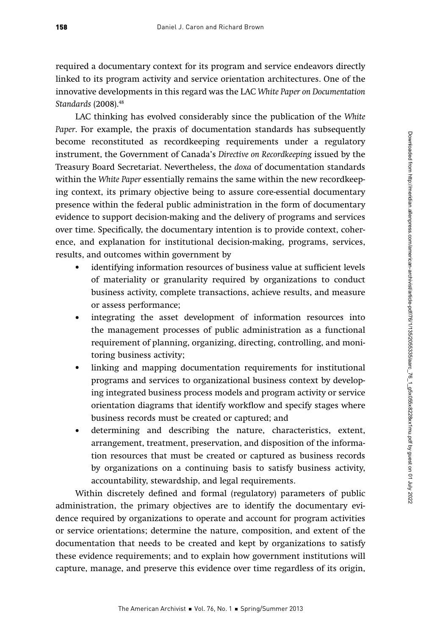required a documentary context for its program and service endeavors directly linked to its program activity and service orientation architectures. One of the innovative developments in this regard was the LAC White Paper on Documentation Standards (2008).<sup>48</sup>

LAC thinking has evolved considerably since the publication of the White Paper. For example, the praxis of documentation standards has subsequently become reconstituted as recordkeeping requirements under a regulatory instrument, the Government of Canada's Directive on Recordkeeping issued by the Treasury Board Secretariat. Nevertheless, the doxa of documentation standards within the White Paper essentially remains the same within the new recordkeeping context, its primary objective being to assure core-essential documentary presence within the federal public administration in the form of documentary evidence to support decision-making and the delivery of programs and services over time. Specifically, the documentary intention is to provide context, coherence, and explanation for institutional decision-making, programs, services, results, and outcomes within government by

- identifying information resources of business value at sufficient levels of materiality or granularity required by organizations to conduct business activity, complete transactions, achieve results, and measure or assess performance;
- integrating the asset development of information resources into the management processes of public administration as a functional requirement of planning, organizing, directing, controlling, and monitoring business activity;
- linking and mapping documentation requirements for institutional programs and services to organizational business context by developing integrated business process models and program activity or service orientation diagrams that identify workflow and specify stages where business records must be created or captured; and
- determining and describing the nature, characteristics, extent, arrangement, treatment, preservation, and disposition of the information resources that must be created or captured as business records by organizations on a continuing basis to satisfy business activity, accountability, stewardship, and legal requirements.

Within discretely defined and formal (regulatory) parameters of public administration, the primary objectives are to identify the documentary evidence required by organizations to operate and account for program activities or service orientations; determine the nature, composition, and extent of the documentation that needs to be created and kept by organizations to satisfy these evidence requirements; and to explain how government institutions will capture, manage, and preserve this evidence over time regardless of its origin,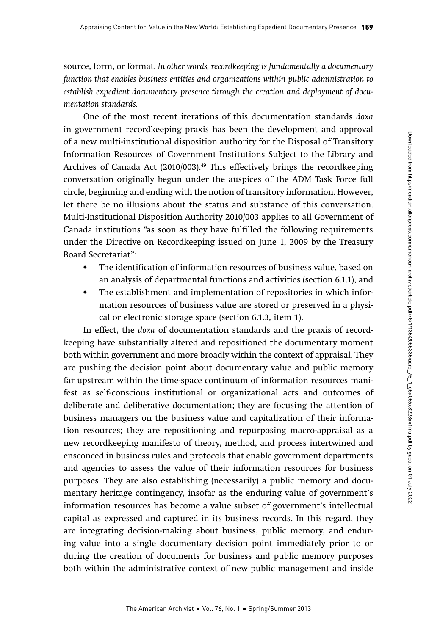source, form, or format. In other words, recordkeeping is fundamentally a documentary function that enables business entities and organizations within public administration to establish expedient documentary presence through the creation and deployment of documentation standards.

One of the most recent iterations of this documentation standards doxa in government recordkeeping praxis has been the development and approval of a new multi-institutional disposition authority for the Disposal of Transitory Information Resources of Government Institutions Subject to the Library and Archives of Canada Act (2010/003).49 This effectively brings the recordkeeping conversation originally begun under the auspices of the ADM Task Force full circle, beginning and ending with the notion of transitory information. However, let there be no illusions about the status and substance of this conversation. Multi-Institutional Disposition Authority 2010/003 applies to all Government of Canada institutions "as soon as they have fulfilled the following requirements under the Directive on Recordkeeping issued on June 1, 2009 by the Treasury Board Secretariat":

- The identification of information resources of business value, based on an analysis of departmental functions and activities (section 6.1.1), and
- The establishment and implementation of repositories in which information resources of business value are stored or preserved in a physical or electronic storage space (section 6.1.3, item 1).

In effect, the doxa of documentation standards and the praxis of recordkeeping have substantially altered and repositioned the documentary moment both within government and more broadly within the context of appraisal. They are pushing the decision point about documentary value and public memory far upstream within the time-space continuum of information resources manifest as self-conscious institutional or organizational acts and outcomes of deliberate and deliberative documentation; they are focusing the attention of business managers on the business value and capitalization of their information resources; they are repositioning and repurposing macro-appraisal as a new recordkeeping manifesto of theory, method, and process intertwined and ensconced in business rules and protocols that enable government departments and agencies to assess the value of their information resources for business purposes. They are also establishing (necessarily) a public memory and documentary heritage contingency, insofar as the enduring value of government's information resources has become a value subset of government's intellectual capital as expressed and captured in its business records. In this regard, they are integrating decision-making about business, public memory, and enduring value into a single documentary decision point immediately prior to or during the creation of documents for business and public memory purposes both within the administrative context of new public management and inside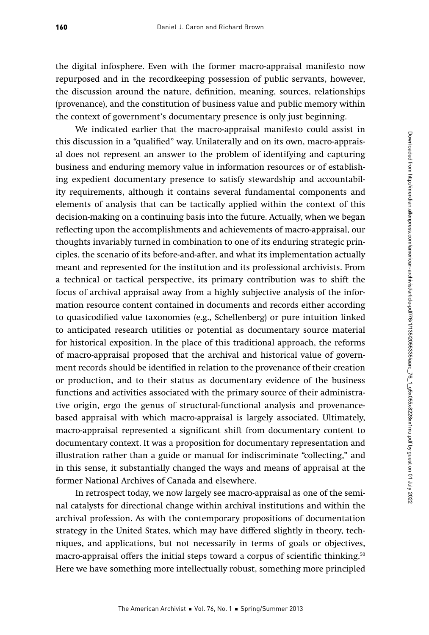the digital infosphere. Even with the former macro-appraisal manifesto now repurposed and in the recordkeeping possession of public servants, however, the discussion around the nature, definition, meaning, sources, relationships (provenance), and the constitution of business value and public memory within the context of government's documentary presence is only just beginning.

We indicated earlier that the macro-appraisal manifesto could assist in this discussion in a "qualified" way. Unilaterally and on its own, macro-appraisal does not represent an answer to the problem of identifying and capturing business and enduring memory value in information resources or of establishing expedient documentary presence to satisfy stewardship and accountability requirements, although it contains several fundamental components and elements of analysis that can be tactically applied within the context of this decision-making on a continuing basis into the future. Actually, when we began reflecting upon the accomplishments and achievements of macro-appraisal, our thoughts invariably turned in combination to one of its enduring strategic principles, the scenario of its before-and-after, and what its implementation actually meant and represented for the institution and its professional archivists. From a technical or tactical perspective, its primary contribution was to shift the focus of archival appraisal away from a highly subjective analysis of the information resource content contained in documents and records either according to quasicodified value taxonomies (e.g., Schellenberg) or pure intuition linked to anticipated research utilities or potential as documentary source material for historical exposition. In the place of this traditional approach, the reforms of macro-appraisal proposed that the archival and historical value of government records should be identified in relation to the provenance of their creation or production, and to their status as documentary evidence of the business functions and activities associated with the primary source of their administrative origin, ergo the genus of structural-functional analysis and provenancebased appraisal with which macro-appraisal is largely associated. Ultimately, macro-appraisal represented a significant shift from documentary content to documentary context. It was a proposition for documentary representation and illustration rather than a guide or manual for indiscriminate "collecting," and in this sense, it substantially changed the ways and means of appraisal at the former National Archives of Canada and elsewhere.

In retrospect today, we now largely see macro-appraisal as one of the seminal catalysts for directional change within archival institutions and within the archival profession. As with the contemporary propositions of documentation strategy in the United States, which may have differed slightly in theory, techniques, and applications, but not necessarily in terms of goals or objectives, macro-appraisal offers the initial steps toward a corpus of scientific thinking.<sup>50</sup> Here we have something more intellectually robust, something more principled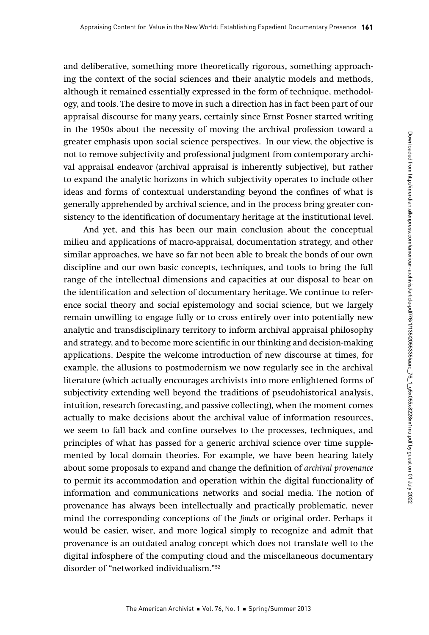and deliberative, something more theoretically rigorous, something approaching the context of the social sciences and their analytic models and methods, although it remained essentially expressed in the form of technique, methodology, and tools. The desire to move in such a direction has in fact been part of our appraisal discourse for many years, certainly since Ernst Posner started writing in the 1950s about the necessity of moving the archival profession toward a greater emphasis upon social science perspectives. In our view, the objective is not to remove subjectivity and professional judgment from contemporary archival appraisal endeavor (archival appraisal is inherently subjective), but rather to expand the analytic horizons in which subjectivity operates to include other ideas and forms of contextual understanding beyond the confines of what is generally apprehended by archival science, and in the process bring greater consistency to the identification of documentary heritage at the institutional level.

And yet, and this has been our main conclusion about the conceptual milieu and applications of macro-appraisal, documentation strategy, and other similar approaches, we have so far not been able to break the bonds of our own discipline and our own basic concepts, techniques, and tools to bring the full range of the intellectual dimensions and capacities at our disposal to bear on the identification and selection of documentary heritage. We continue to reference social theory and social epistemology and social science, but we largely remain unwilling to engage fully or to cross entirely over into potentially new analytic and transdisciplinary territory to inform archival appraisal philosophy and strategy, and to become more scientific in our thinking and decision-making applications. Despite the welcome introduction of new discourse at times, for example, the allusions to postmodernism we now regularly see in the archival literature (which actually encourages archivists into more enlightened forms of subjectivity extending well beyond the traditions of pseudohistorical analysis, intuition, research forecasting, and passive collecting), when the moment comes actually to make decisions about the archival value of information resources, we seem to fall back and confine ourselves to the processes, techniques, and principles of what has passed for a generic archival science over time supplemented by local domain theories. For example, we have been hearing lately about some proposals to expand and change the definition of archival provenance to permit its accommodation and operation within the digital functionality of information and communications networks and social media. The notion of provenance has always been intellectually and practically problematic, never mind the corresponding conceptions of the fonds or original order. Perhaps it would be easier, wiser, and more logical simply to recognize and admit that provenance is an outdated analog concept which does not translate well to the digital infosphere of the computing cloud and the miscellaneous documentary disorder of "networked individualism."52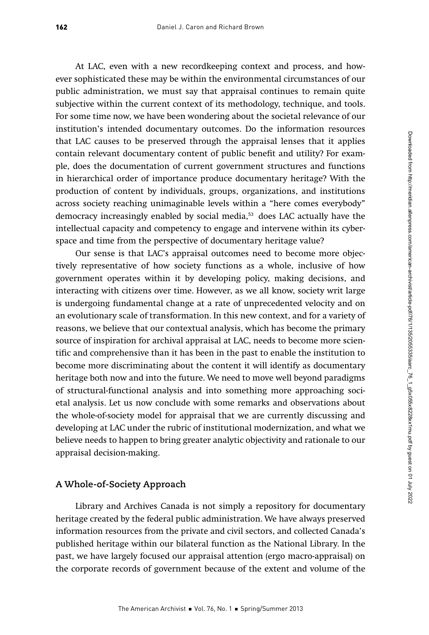At LAC, even with a new recordkeeping context and process, and however sophisticated these may be within the environmental circumstances of our public administration, we must say that appraisal continues to remain quite subjective within the current context of its methodology, technique, and tools. For some time now, we have been wondering about the societal relevance of our institution's intended documentary outcomes. Do the information resources that LAC causes to be preserved through the appraisal lenses that it applies contain relevant documentary content of public benefit and utility? For example, does the documentation of current government structures and functions in hierarchical order of importance produce documentary heritage? With the production of content by individuals, groups, organizations, and institutions across society reaching unimaginable levels within a "here comes everybody" democracy increasingly enabled by social media,<sup>53</sup> does LAC actually have the intellectual capacity and competency to engage and intervene within its cyberspace and time from the perspective of documentary heritage value?

Our sense is that LAC's appraisal outcomes need to become more objectively representative of how society functions as a whole, inclusive of how government operates within it by developing policy, making decisions, and interacting with citizens over time. However, as we all know, society writ large is undergoing fundamental change at a rate of unprecedented velocity and on an evolutionary scale of transformation. In this new context, and for a variety of reasons, we believe that our contextual analysis, which has become the primary source of inspiration for archival appraisal at LAC, needs to become more scientific and comprehensive than it has been in the past to enable the institution to become more discriminating about the content it will identify as documentary heritage both now and into the future. We need to move well beyond paradigms of structural-functional analysis and into something more approaching societal analysis. Let us now conclude with some remarks and observations about the whole-of-society model for appraisal that we are currently discussing and developing at LAC under the rubric of institutional modernization, and what we believe needs to happen to bring greater analytic objectivity and rationale to our appraisal decision-making.

#### **A Whole-of-Society Approach**

Library and Archives Canada is not simply a repository for documentary heritage created by the federal public administration. We have always preserved information resources from the private and civil sectors, and collected Canada's published heritage within our bilateral function as the National Library. In the past, we have largely focused our appraisal attention (ergo macro-appraisal) on the corporate records of government because of the extent and volume of the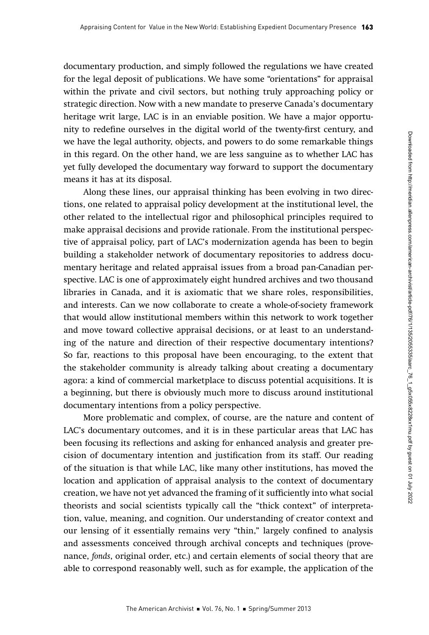documentary production, and simply followed the regulations we have created for the legal deposit of publications. We have some "orientations" for appraisal within the private and civil sectors, but nothing truly approaching policy or strategic direction. Now with a new mandate to preserve Canada's documentary heritage writ large, LAC is in an enviable position. We have a major opportunity to redefine ourselves in the digital world of the twenty-first century, and we have the legal authority, objects, and powers to do some remarkable things in this regard. On the other hand, we are less sanguine as to whether LAC has yet fully developed the documentary way forward to support the documentary means it has at its disposal.

Along these lines, our appraisal thinking has been evolving in two directions, one related to appraisal policy development at the institutional level, the other related to the intellectual rigor and philosophical principles required to make appraisal decisions and provide rationale. From the institutional perspective of appraisal policy, part of LAC's modernization agenda has been to begin building a stakeholder network of documentary repositories to address documentary heritage and related appraisal issues from a broad pan-Canadian perspective. LAC is one of approximately eight hundred archives and two thousand libraries in Canada, and it is axiomatic that we share roles, responsibilities, and interests. Can we now collaborate to create a whole-of-society framework that would allow institutional members within this network to work together and move toward collective appraisal decisions, or at least to an understanding of the nature and direction of their respective documentary intentions? So far, reactions to this proposal have been encouraging, to the extent that the stakeholder community is already talking about creating a documentary agora: a kind of commercial marketplace to discuss potential acquisitions. It is a beginning, but there is obviously much more to discuss around institutional documentary intentions from a policy perspective.

More problematic and complex, of course, are the nature and content of LAC's documentary outcomes, and it is in these particular areas that LAC has been focusing its reflections and asking for enhanced analysis and greater precision of documentary intention and justification from its staff. Our reading of the situation is that while LAC, like many other institutions, has moved the location and application of appraisal analysis to the context of documentary creation, we have not yet advanced the framing of it sufficiently into what social theorists and social scientists typically call the "thick context" of interpretation, value, meaning, and cognition. Our understanding of creator context and our lensing of it essentially remains very "thin," largely confined to analysis and assessments conceived through archival concepts and techniques (provenance, fonds, original order, etc.) and certain elements of social theory that are able to correspond reasonably well, such as for example, the application of the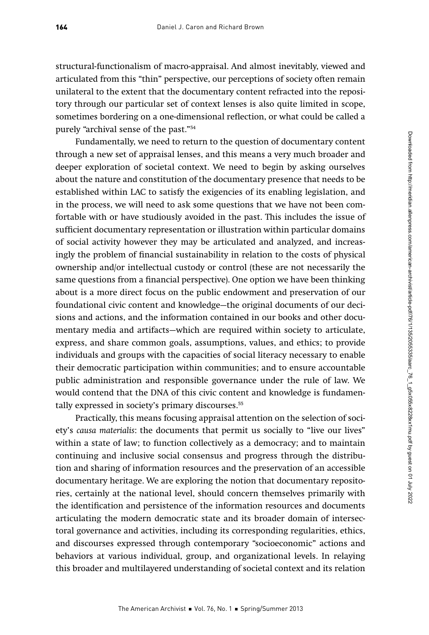structural-functionalism of macro-appraisal. And almost inevitably, viewed and articulated from this "thin" perspective, our perceptions of society often remain unilateral to the extent that the documentary content refracted into the repository through our particular set of context lenses is also quite limited in scope, sometimes bordering on a one-dimensional reflection, or what could be called a purely "archival sense of the past."54

Fundamentally, we need to return to the question of documentary content through a new set of appraisal lenses, and this means a very much broader and deeper exploration of societal context. We need to begin by asking ourselves about the nature and constitution of the documentary presence that needs to be established within LAC to satisfy the exigencies of its enabling legislation, and in the process, we will need to ask some questions that we have not been comfortable with or have studiously avoided in the past. This includes the issue of sufficient documentary representation or illustration within particular domains of social activity however they may be articulated and analyzed, and increasingly the problem of financial sustainability in relation to the costs of physical ownership and/or intellectual custody or control (these are not necessarily the same questions from a financial perspective). One option we have been thinking about is a more direct focus on the public endowment and preservation of our foundational civic content and knowledge—the original documents of our decisions and actions, and the information contained in our books and other documentary media and artifacts—which are required within society to articulate, express, and share common goals, assumptions, values, and ethics; to provide individuals and groups with the capacities of social literacy necessary to enable their democratic participation within communities; and to ensure accountable public administration and responsible governance under the rule of law. We would contend that the DNA of this civic content and knowledge is fundamentally expressed in society's primary discourses.<sup>55</sup>

Practically, this means focusing appraisal attention on the selection of society's causa materialis: the documents that permit us socially to "live our lives" within a state of law; to function collectively as a democracy; and to maintain continuing and inclusive social consensus and progress through the distribution and sharing of information resources and the preservation of an accessible documentary heritage. We are exploring the notion that documentary repositories, certainly at the national level, should concern themselves primarily with the identification and persistence of the information resources and documents articulating the modern democratic state and its broader domain of intersectoral governance and activities, including its corresponding regularities, ethics, and discourses expressed through contemporary "socioeconomic" actions and behaviors at various individual, group, and organizational levels. In relaying this broader and multilayered understanding of societal context and its relation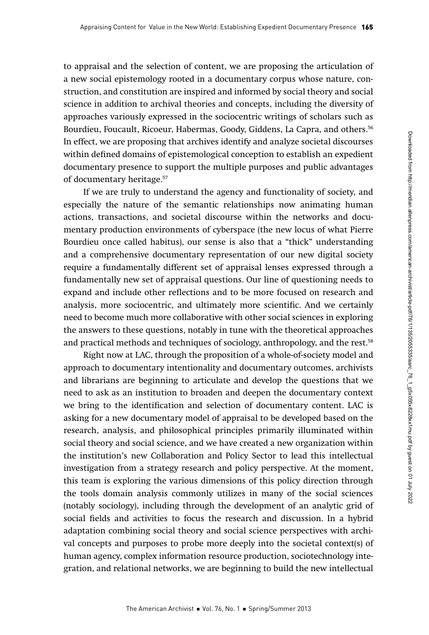to appraisal and the selection of content, we are proposing the articulation of a new social epistemology rooted in a documentary corpus whose nature, construction, and constitution are inspired and informed by social theory and social science in addition to archival theories and concepts, including the diversity of approaches variously expressed in the sociocentric writings of scholars such as Bourdieu, Foucault, Ricoeur, Habermas, Goody, Giddens, La Capra, and others.<sup>56</sup> In effect, we are proposing that archives identify and analyze societal discourses within defined domains of epistemological conception to establish an expedient documentary presence to support the multiple purposes and public advantages of documentary heritage.57

If we are truly to understand the agency and functionality of society, and especially the nature of the semantic relationships now animating human actions, transactions, and societal discourse within the networks and documentary production environments of cyberspace (the new locus of what Pierre Bourdieu once called habitus), our sense is also that a "thick" understanding and a comprehensive documentary representation of our new digital society require a fundamentally different set of appraisal lenses expressed through a fundamentally new set of appraisal questions. Our line of questioning needs to expand and include other reflections and to be more focused on research and analysis, more sociocentric, and ultimately more scientific. And we certainly need to become much more collaborative with other social sciences in exploring the answers to these questions, notably in tune with the theoretical approaches and practical methods and techniques of sociology, anthropology, and the rest.<sup>58</sup>

Right now at LAC, through the proposition of a whole-of-society model and approach to documentary intentionality and documentary outcomes, archivists and librarians are beginning to articulate and develop the questions that we need to ask as an institution to broaden and deepen the documentary context we bring to the identification and selection of documentary content. LAC is asking for a new documentary model of appraisal to be developed based on the research, analysis, and philosophical principles primarily illuminated within social theory and social science, and we have created a new organization within the institution's new Collaboration and Policy Sector to lead this intellectual investigation from a strategy research and policy perspective. At the moment, this team is exploring the various dimensions of this policy direction through the tools domain analysis commonly utilizes in many of the social sciences (notably sociology), including through the development of an analytic grid of social fields and activities to focus the research and discussion. In a hybrid adaptation combining social theory and social science perspectives with archival concepts and purposes to probe more deeply into the societal context(s) of human agency, complex information resource production, sociotechnology integration, and relational networks, we are beginning to build the new intellectual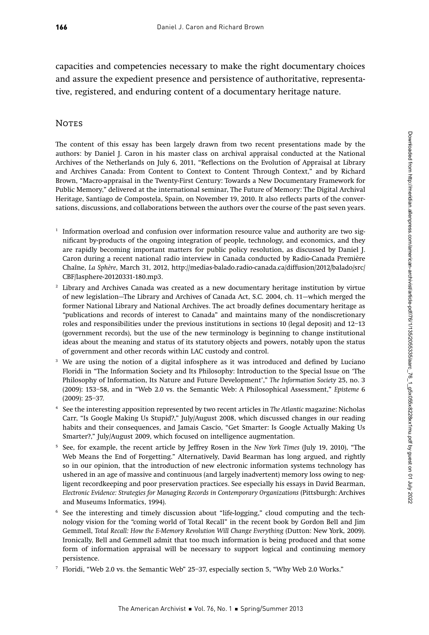capacities and competencies necessary to make the right documentary choices and assure the expedient presence and persistence of authoritative, representative, registered, and enduring content of a documentary heritage nature.

#### **NOTES**

The content of this essay has been largely drawn from two recent presentations made by the authors: by Daniel J. Caron in his master class on archival appraisal conducted at the National Archives of the Netherlands on July 6, 2011, "Reflections on the Evolution of Appraisal at Library and Archives Canada: From Content to Context to Content Through Context," and by Richard Brown, "Macro-appraisal in the Twenty-First Century: Towards a New Documentary Framework for Public Memory," delivered at the international seminar, The Future of Memory: The Digital Archival Heritage, Santiago de Compostela, Spain, on November 19, 2010. It also reflects parts of the conversations, discussions, and collaborations between the authors over the course of the past seven years.

- $1$  Information overload and confusion over information resource value and authority are two significant by-products of the ongoing integration of people, technology, and economics, and they are rapidly becoming important matters for public policy resolution, as discussed by Daniel J. Caron during a recent national radio interview in Canada conducted by Radio-Canada Première Chaîne, La Sphère, March 31, 2012, http://medias-balado.radio-canada.ca/diffusion/2012/balado/src/ CBF/lasphere-20120331-180.mp3.
- <sup>2</sup> Library and Archives Canada was created as a new documentary heritage institution by virtue of new legislation—The Library and Archives of Canada Act, S.C. 2004, ch. 11—which merged the former National Library and National Archives. The act broadly defines documentary heritage as "publications and records of interest to Canada" and maintains many of the nondiscretionary roles and responsibilities under the previous institutions in sections 10 (legal deposit) and 12–13 (government records), but the use of the new terminology is beginning to change institutional ideas about the meaning and status of its statutory objects and powers, notably upon the status of government and other records within LAC custody and control.
- <sup>3</sup> We are using the notion of a digital infosphere as it was introduced and defined by Luciano Floridi in "The Information Society and Its Philosophy: Introduction to the Special Issue on 'The Philosophy of Information, Its Nature and Future Development'," The Information Society 25, no. 3 (2009): 153–58, and in "Web 2.0 vs. the Semantic Web: A Philosophical Assessment," Episteme 6 (2009): 25–37.
- <sup>4</sup> See the interesting apposition represented by two recent articles in The Atlantic magazine: Nicholas Carr, "Is Google Making Us Stupid?," July/August 2008, which discussed changes in our reading habits and their consequences, and Jamais Cascio, "Get Smarter: Is Google Actually Making Us Smarter?," July/August 2009, which focused on intelligence augmentation.
- <sup>5</sup> See, for example, the recent article by Jeffrey Rosen in the New York Times (July 19, 2010), "The Web Means the End of Forgetting." Alternatively, David Bearman has long argued, and rightly so in our opinion, that the introduction of new electronic information systems technology has ushered in an age of massive and continuous (and largely inadvertent) memory loss owing to negligent recordkeeping and poor preservation practices. See especially his essays in David Bearman, Electronic Evidence: Strategies for Managing Records in Contemporary Organizations (Pittsburgh: Archives and Museums Informatics, 1994).
- <sup>6</sup> See the interesting and timely discussion about "life-logging," cloud computing and the technology vision for the "coming world of Total Recall" in the recent book by Gordon Bell and Jim Gemmell, Total Recall: How the E-Memory Revolution Will Change Everything (Dutton: New York, 2009). Ironically, Bell and Gemmell admit that too much information is being produced and that some form of information appraisal will be necessary to support logical and continuing memory persistence.
- <sup>7</sup> Floridi, "Web 2.0 vs. the Semantic Web" 25–37, especially section 5, "Why Web 2.0 Works."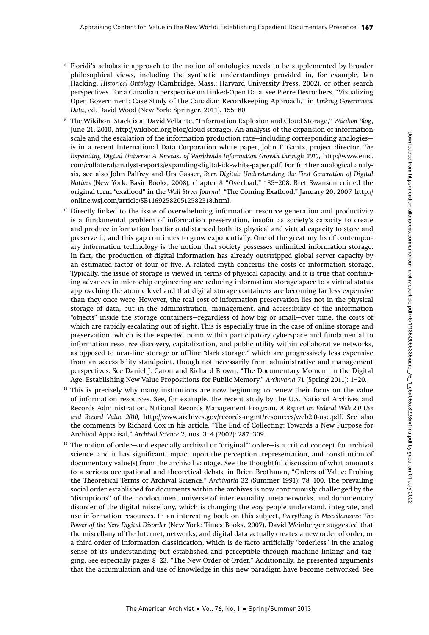- <sup>8</sup> Floridi's scholastic approach to the notion of ontologies needs to be supplemented by broader philosophical views, including the synthetic understandings provided in, for example, Ian Hacking, Historical Ontology (Cambridge, Mass.: Harvard University Press, 2002), or other search perspectives. For a Canadian perspective on Linked-Open Data, see Pierre Desrochers, "Visualizing Open Government: Case Study of the Canadian Recordkeeping Approach," in Linking Government Data, ed. David Wood (New York: Springer, 2011), 155–80.
- <sup>9</sup> The Wikibon iStack is at David Vellante, "Information Explosion and Cloud Storage," Wikibon Blog, June 21, 2010, http://wikibon.org/blog/cloud-storage/. An analysis of the expansion of information scale and the escalation of the information production rate—including corresponding analogies is in a recent International Data Corporation white paper, John F. Gantz, project director, The Expanding Digital Universe: A Forecast of Worldwide Information Growth through 2010, http://www.emc. com/collateral/analyst-reports/expanding-digital-idc-white-paper.pdf. For further analogical analysis, see also John Palfrey and Urs Gasser, Born Digital: Understanding the First Generation of Digital Natives (New York: Basic Books, 2008), chapter 8 "Overload," 185–208. Bret Swanson coined the original term "exaflood" in the Wall Street Journal, "The Coming Exaflood," January 20, 2007, http:// online.wsj.com/article/SB116925820512582318.html.
- $10$  Directly linked to the issue of overwhelming information resource generation and productivity is a fundamental problem of information preservation, insofar as society's capacity to create and produce information has far outdistanced both its physical and virtual capacity to store and preserve it, and this gap continues to grow exponentially. One of the great myths of contemporary information technology is the notion that society possesses unlimited information storage. In fact, the production of digital information has already outstripped global server capacity by an estimated factor of four or five. A related myth concerns the costs of information storage. Typically, the issue of storage is viewed in terms of physical capacity, and it is true that continuing advances in microchip engineering are reducing information storage space to a virtual status approaching the atomic level and that digital storage containers are becoming far less expensive than they once were. However, the real cost of information preservation lies not in the physical storage of data, but in the administration, management, and accessibility of the information "objects" inside the storage containers—regardless of how big or small—over time, the costs of which are rapidly escalating out of sight. This is especially true in the case of online storage and preservation, which is the expected norm within participatory cyberspace and fundamental to information resource discovery, capitalization, and public utility within collaborative networks, as opposed to near-line storage or offline "dark storage," which are progressively less expensive from an accessibility standpoint, though not necessarily from administrative and management perspectives. See Daniel J. Caron and Richard Brown, "The Documentary Moment in the Digital Age: Establishing New Value Propositions for Public Memory," Archivaria 71 (Spring 2011): 1–20.
- $11$  This is precisely why many institutions are now beginning to renew their focus on the value of information resources. See, for example, the recent study by the U.S. National Archives and Records Administration, National Records Management Program, A Report on Federal Web 2.0 Use and Record Value 2010, http://www.archives.gov/records-mgmt/resources/web2.0-use.pdf. See also the comments by Richard Cox in his article, "The End of Collecting: Towards a New Purpose for Archival Appraisal," Archival Science 2, nos. 3–4 (2002): 287–309.
- <sup>12</sup> The notion of order-and especially archival or "original"' order-is a critical concept for archival science, and it has significant impact upon the perception, representation, and constitution of documentary value(s) from the archival vantage. See the thoughtful discussion of what amounts to a serious occupational and theoretical debate in Brien Brothman, "Orders of Value: Probing the Theoretical Terms of Archival Science," Archivaria 32 (Summer 1991): 78–100. The prevailing social order established for documents within the archives is now continuously challenged by the "disruptions" of the nondocument universe of intertextuality, metanetworks, and documentary disorder of the digital miscellany, which is changing the way people understand, integrate, and use information resources. In an interesting book on this subject, Everything Is Miscellaneous: The Power of the New Digital Disorder (New York: Times Books, 2007), David Weinberger suggested that the miscellany of the Internet, networks, and digital data actually creates a new order of order, or a third order of information classification, which is de facto artificially "orderless" in the analog sense of its understanding but established and perceptible through machine linking and tagging. See especially pages 8–23, "The New Order of Order." Additionally, he presented arguments that the accumulation and use of knowledge in this new paradigm have become networked. See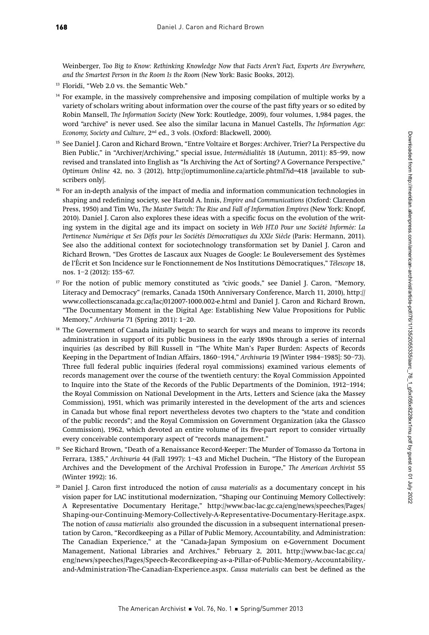Weinberger, Too Big to Know: Rethinking Knowledge Now that Facts Aren't Fact, Experts Are Everywhere, and the Smartest Person in the Room Is the Room (New York: Basic Books, 2012).

- <sup>13</sup> Floridi, "Web 2.0 vs. the Semantic Web."
- <sup>14</sup> For example, in the massively comprehensive and imposing compilation of multiple works by a variety of scholars writing about information over the course of the past fifty years or so edited by Robin Mansell, The Information Society (New York: Routledge, 2009), four volumes, 1,984 pages, the word "archive" is never used. See also the similar lacuna in Manuel Castells, The Information Age: Economy, Society and Culture, 2nd ed., 3 vols. (Oxford: Blackwell, 2000).
- <sup>15</sup> See Daniel J. Caron and Richard Brown, "Entre Voltaire et Borges: Archiver, Trier? La Perspective du Bien Public," in "Archiver/Archiving," special issue, Intermédialités 18 (Autumn, 2011): 85–99, now revised and translated into English as "Is Archiving the Act of Sorting? A Governance Perspective," Optimum Online 42, no. 3 (2012), http://optimumonline.ca/article.phtml?id=418 [available to subscribers only].
- $16$  For an in-depth analysis of the impact of media and information communication technologies in shaping and redefining society, see Harold A. Innis, Empire and Communications (Oxford: Clarendon Press, 1950) and Tim Wu, The Master Switch: The Rise and Fall of Information Empires (New York: Knopf, 2010). Daniel J. Caron also explores these ideas with a specific focus on the evolution of the writing system in the digital age and its impact on society in Web HT.0 Pour une Société Informée: La Pertinence Numérique et Ses Défis pour les Sociétés Démocratiques du XXIe Siècle (Paris: Hermann, 2011). See also the additional context for sociotechnology transformation set by Daniel J. Caron and Richard Brown, "Des Grottes de Lascaux aux Nuages de Google: Le Bouleversement des Systèmes de l'Écrit et Son Incidence sur le Fonctionnement de Nos Institutions Démocratiques," Télescope 18, nos. 1–2 (2012): 155–67.
- <sup>17</sup> For the notion of public memory constituted as "civic goods," see Daniel J. Caron, "Memory, Literacy and Democracy" (remarks, Canada 150th Anniversary Conference, March 11, 2010), http:// www.collectionscanada.gc.ca/lac/012007-1000.002-e.html and Daniel J. Caron and Richard Brown, "The Documentary Moment in the Digital Age: Establishing New Value Propositions for Public Memory," Archivaria 71 (Spring 2011): 1–20.
- The Government of Canada initially began to search for ways and means to improve its records administration in support of its public business in the early 1890s through a series of internal inquiries (as described by Bill Russell in "The White Man's Paper Burden: Aspects of Records Keeping in the Department of Indian Affairs, 1860–1914," Archivaria 19 [Winter 1984–1985]: 50–73). Three full federal public inquiries (federal royal commissions) examined various elements of records management over the course of the twentieth century: the Royal Commission Appointed to Inquire into the State of the Records of the Public Departments of the Dominion, 1912–1914; the Royal Commission on National Development in the Arts, Letters and Science (aka the Massey Commission), 1951, which was primarily interested in the development of the arts and sciences in Canada but whose final report nevertheless devotes two chapters to the "state and condition of the public records"; and the Royal Commission on Government Organization (aka the Glassco Commission), 1962, which devoted an entire volume of its five-part report to consider virtually every conceivable contemporary aspect of "records management."
- <sup>19</sup> See Richard Brown, "Death of a Renaissance Record-Keeper: The Murder of Tomasso da Tortona in Ferrara, 1385," Archivaria 44 (Fall 1997): 1–43 and Michel Duchein, "The History of the European Archives and the Development of the Archival Profession in Europe," The American Archivist 55 (Winter 1992): 16.
- $20$  Daniel J. Caron first introduced the notion of *causa materialis* as a documentary concept in his vision paper for LAC institutional modernization, "Shaping our Continuing Memory Collectively: A Representative Documentary Heritage," http://www.bac-lac.gc.ca/eng/news/speeches/Pages/ Shaping-our-Continuing-Memory-Collectively-A-Representative-Documentary-Heritage.aspx. The notion of causa matierialis also grounded the discussion in a subsequent international presentation by Caron, "Recordkeeping as a Pillar of Public Memory, Accountability, and Administration: The Canadian Experience," at the "Canada-Japan Symposium on e-Government Document Management, National Libraries and Archives," February 2, 2011, http://www.bac-lac.gc.ca/ eng/news/speeches/Pages/Speech-Recordkeeping-as-a-Pillar-of-Public-Memory,-Accountability, and-Administration-The-Canadian-Experience.aspx. Causa materialis can best be defined as the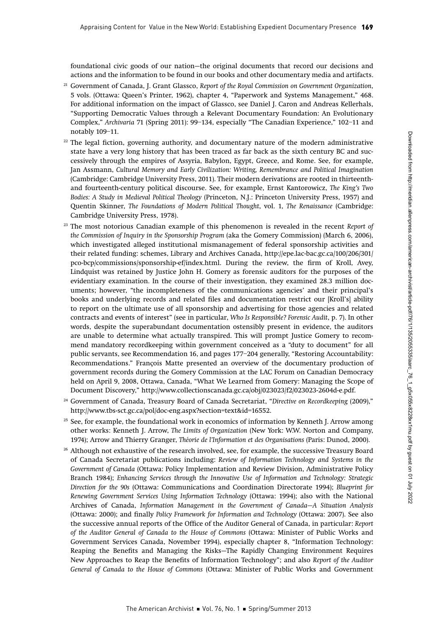foundational civic goods of our nation—the original documents that record our decisions and actions and the information to be found in our books and other documentary media and artifacts.

- <sup>21</sup> Government of Canada, J. Grant Glassco, Report of the Royal Commission on Government Organization, 5 vols. (Ottawa: Queen's Printer, 1962), chapter 4, "Paperwork and Systems Management," 468. For additional information on the impact of Glassco, see Daniel J. Caron and Andreas Kellerhals, "Supporting Democratic Values through a Relevant Documentary Foundation: An Evolutionary Complex," Archivaria 71 (Spring 2011): 99–134, especially "The Canadian Experience," 102–11 and notably 109–11.
- $22$  The legal fiction, governing authority, and documentary nature of the modern administrative state have a very long history that has been traced as far back as the sixth century BC and successively through the empires of Assyria, Babylon, Egypt, Greece, and Rome. See, for example, Jan Assmann, Cultural Memory and Early Civilization: Writing, Remembrance and Political Imagination (Cambridge: Cambridge University Press, 2011). Their modern derivations are rooted in thirteenthand fourteenth-century political discourse. See, for example, Ernst Kantorowicz, The King's Two Bodies: A Study in Medieval Political Theology (Princeton, N.J.: Princeton University Press, 1957) and Quentin Skinner, The Foundations of Modern Political Thought, vol. 1, The Renaissance (Cambridge: Cambridge University Press, 1978).
- $23$  The most notorious Canadian example of this phenomenon is revealed in the recent Report of the Commission of Inquiry in the Sponsorship Program (aka the Gomery Commission) (March 6, 2006), which investigated alleged institutional mismanagement of federal sponsorship activities and their related funding: schemes, Library and Archives Canada, http://epe.lac-bac.gc.ca/100/206/301/ pco-bcp/commissions/sponsorship-ef/index.html. During the review, the firm of Kroll, Avey, Lindquist was retained by Justice John H. Gomery as forensic auditors for the purposes of the evidentiary examination. In the course of their investigation, they examined 28.3 million documents; however, "the incompleteness of the communications agencies' and their principal's books and underlying records and related files and documentation restrict our [Kroll's] ability to report on the ultimate use of all sponsorship and advertising for those agencies and related contracts and events of interest" (see in particular, Who Is Responsible? Forensic Audit, p. 7). In other words, despite the superabundant documentation ostensibly present in evidence, the auditors are unable to determine what actually transpired. This will prompt Justice Gomery to recommend mandatory recordkeeping within government conceived as a "duty to document" for all public servants, see Recommendation 16, and pages 177–204 generally, "Restoring Accountability: Recommendations." François Matte presented an overview of the documentary production of government records during the Gomery Commission at the LAC Forum on Canadian Democracy held on April 9, 2008, Ottawa, Canada, "What We Learned from Gomery: Managing the Scope of Document Discovery," http://www.collectionscanada.gc.ca/obj/023023/f2/023023-2604d-e.pdf.
- <sup>24</sup> Government of Canada, Treasury Board of Canada Secretariat, "Directive on Recordkeeping (2009)," http://www.tbs-sct.gc.ca/pol/doc-eng.aspx?section=text&id=16552.
- $25$  See, for example, the foundational work in economics of information by Kenneth J. Arrow among other works: Kenneth J. Arrow, The Limits of Organization (New York: W.W. Norton and Company, 1974); Arrow and Thierry Granger, Théorie de l'Information et des Organisations (Paris: Dunod, 2000).
- <sup>26</sup> Although not exhaustive of the research involved, see, for example, the successive Treasury Board of Canada Secretariat publications including: Review of Information Technology and Systems in the Government of Canada (Ottawa: Policy Implementation and Review Division, Administrative Policy Branch 1984); Enhancing Services through the Innovative Use of Information and Technology: Strategic Direction for the 90s (Ottawa: Communications and Coordination Directorate 1994); Blueprint for Renewing Government Services Using Information Technology (Ottawa: 1994); also with the National Archives of Canada, Information Management in the Government of Canada—A Situation Analysis (Ottawa: 2000); and finally Policy Framework for Information and Technology (Ottawa: 2007). See also the successive annual reports of the Office of the Auditor General of Canada, in particular: Report of the Auditor General of Canada to the House of Commons (Ottawa: Minister of Public Works and Government Services Canada, November 1994), especially chapter 8, "Information Technology: Reaping the Benefits and Managing the Risks—The Rapidly Changing Environment Requires New Approaches to Reap the Benefits of Information Technology"; and also Report of the Auditor General of Canada to the House of Commons (Ottawa: Minister of Public Works and Government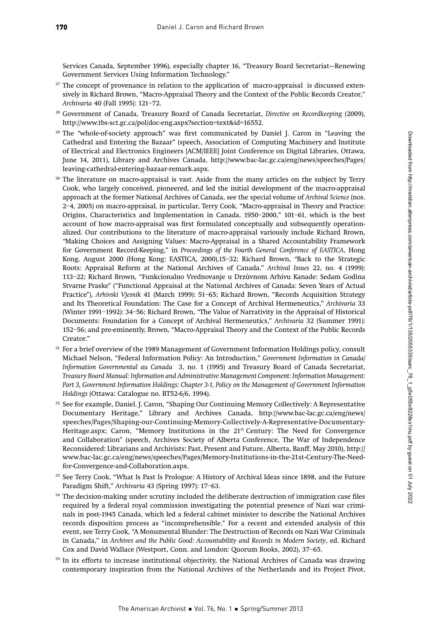Services Canada, September 1996), especially chapter 16, "Treasury Board Secretariat—Renewing Government Services Using Information Technology."

- <sup>27</sup> The concept of provenance in relation to the application of macro-appraisal is discussed extensively in Richard Brown, "Macro-Appraisal Theory and the Context of the Public Records Creator," Archivaria 40 (Fall 1995): 121–72.
- <sup>28</sup> Government of Canada, Treasury Board of Canada Secretariat, Directive on Recordkeeping (2009), http://www.tbs-sct.gc.ca/pol/doc-eng.aspx?section=text&id=16552.
- $29$  The "whole-of-society approach" was first communicated by Daniel J. Caron in "Leaving the Cathedral and Entering the Bazaar" (speech, Association of Computing Machinery and Institute of Electrical and Electronics Engineers [ACM/IEEE] Joint Conference on Digital Libraries, Ottawa, June 14, 2011), Library and Archives Canada, http://www.bac-lac.gc.ca/eng/news/speeches/Pages/ leaving-cathedral-entering-bazaar-remark.aspx.
- <sup>30</sup> The literature on macro-appraisal is vast. Aside from the many articles on the subject by Terry Cook, who largely conceived, pioneered, and led the initial development of the macro-appraisal approach at the former National Archives of Canada, see the special volume of Archival Science (nos. 2–4, 2005) on macro-appraisal, in particular, Terry Cook, "Macro-appraisal in Theory and Practice: Origins, Characteristics and Implementation in Canada, 1950–2000," 101–61, which is the best account of how macro-appraisal was first formulated conceptually and subsequently operationalized. Our contributions to the literature of macro-appraisal variously include Richard Brown, "Making Choices and Assigning Values: Macro-Appraisal in a Shared Accountability Framework for Government Record-Keeping," in Proceedings of the Fourth General Conference of EASTICA, Hong Kong, August 2000 (Hong Kong: EASTICA, 2000),15–32; Richard Brown, "Back to the Strategic Roots: Appraisal Reform at the National Archives of Canada," Archival Issues 22, no. 4 (1999): 113–22; Richard Brown, "Funkcionalno Vrednovanje u Drzùvnom Arhivu Kanade: Sedam Godina Stvarne Praske" ("Functional Appraisal at the National Archives of Canada: Seven Years of Actual Practice"), Arhivski Vjesnik 41 (March 1999): 51–65; Richard Brown, "Records Acquisition Strategy and Its Theoretical Foundation: The Case for a Concept of Archival Hermeneutics," Archivaria 33 (Winter 1991–1992): 34–56; Richard Brown, "The Value of Narrativity in the Appraisal of Historical Documents: Foundation for a Concept of Archival Hermeneutics," Archivaria 32 (Summer 1991): 152–56; and pre-eminently, Brown, "Macro-Appraisal Theory and the Context of the Public Records Creator."
- <sup>31</sup> For a brief overview of the 1989 Management of Government Information Holdings policy, consult Michael Nelson, "Federal Information Policy: An Introduction," Government Information in Canada/ Information Governmental au Canada 3, no. 1 (1995) and Treasury Board of Canada Secretariat, Treasury Board Manual: Information and Administrative Management Component: Information Management: Part 3, Government Information Holdings: Chapter 3-1, Policy on the Management of Government Information Holdings (Ottawa: Catalogue no. BT52-6/6, 1994).
- <sup>32</sup> See for example, Daniel. J. Caron, "Shaping Our Continuing Memory Collectively: A Representative Documentary Heritage," Library and Archives Canada, http://www.bac-lac.gc.ca/eng/news/ speeches/Pages/Shaping-our-Continuing-Memory-Collectively-A-Representative-Documentary-Heritage.aspx; Caron, "Memory Institutions in the  $21<sup>st</sup>$  Century: The Need for Convergence and Collaboration" (speech, Archives Society of Alberta Conference, The War of Independence Reconsidered: Librarians and Archivists: Past, Present and Future, Alberta, Banff, May 2010), http:// www.bac-lac.gc.ca/eng/news/speeches/Pages/Memory-Institutions-in-the-21st-Century-The-Needfor-Convergence-and-Collaboration.aspx.
- <sup>33</sup> See Terry Cook, "What Is Past Is Prologue: A History of Archival Ideas since 1898, and the Future Paradigm Shift," Archivaria 43 (Spring 1997): 17–63.
- <sup>34</sup> The decision-making under scrutiny included the deliberate destruction of immigration case files required by a federal royal commission investigating the potential presence of Nazi war criminals in post-1945 Canada, which led a federal cabinet minister to describe the National Archives records disposition process as "incomprehensible." For a recent and extended analysis of this event, see Terry Cook, "A Monumental Blunder: The Destruction of Records on Nazi War Criminals in Canada," in Archives and the Public Good: Accountability and Records in Modern Society, ed. Richard Cox and David Wallace (Westport, Conn. and London: Quorum Books, 2002), 37–65.
- <sup>35</sup> In its efforts to increase institutional objectivity, the National Archives of Canada was drawing contemporary inspiration from the National Archives of the Netherlands and its Project Pivot,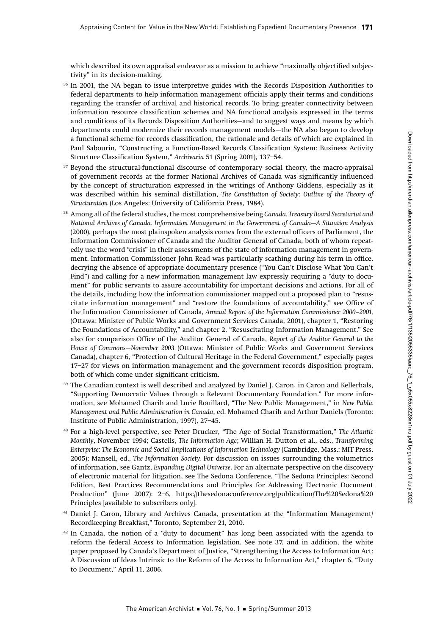which described its own appraisal endeavor as a mission to achieve "maximally objectified subjectivity" in its decision-making.

- <sup>36</sup> In 2001, the NA began to issue interpretive guides with the Records Disposition Authorities to federal departments to help information management officials apply their terms and conditions regarding the transfer of archival and historical records. To bring greater connectivity between information resource classification schemes and NA functional analysis expressed in the terms and conditions of its Records Disposition Authorities—and to suggest ways and means by which departments could modernize their records management models—the NA also began to develop a functional scheme for records classification, the rationale and details of which are explained in Paul Sabourin, "Constructing a Function-Based Records Classification System: Business Activity Structure Classification System," Archivaria 51 (Spring 2001), 137–54.
- <sup>37</sup> Beyond the structural-functional discourse of contemporary social theory, the macro-appraisal of government records at the former National Archives of Canada was significantly influenced by the concept of structuration expressed in the writings of Anthony Giddens, especially as it was described within his seminal distillation, The Constitution of Society: Outline of the Theory of Structuration (Los Angeles: University of California Press, 1984).
- <sup>38</sup> Among all of the federal studies, the most comprehensive being Canada. Treasury Board Secretariat and National Archives of Canada. Information Management in the Government of Canada—A Situation Analysis (2000), perhaps the most plainspoken analysis comes from the external officers of Parliament, the Information Commissioner of Canada and the Auditor General of Canada, both of whom repeatedly use the word "crisis" in their assessments of the state of information management in government. Information Commissioner John Read was particularly scathing during his term in office, decrying the absence of appropriate documentary presence ("You Can't Disclose What You Can't Find") and calling for a new information management law expressly requiring a "duty to document" for public servants to assure accountability for important decisions and actions. For all of the details, including how the information commissioner mapped out a proposed plan to "resuscitate information management" and "restore the foundations of accountability," see Office of the Information Commissioner of Canada, Annual Report of the Information Commissioner 2000–2001, (Ottawa: Minister of Public Works and Government Services Canada, 2001), chapter 1, "Restoring the Foundations of Accountability," and chapter 2, "Resuscitating Information Management." See also for comparison Office of the Auditor General of Canada, Report of the Auditor General to the House of Commons—November 2003 (Ottawa: Minister of Public Works and Government Services Canada), chapter 6, "Protection of Cultural Heritage in the Federal Government," especially pages 17–27 for views on information management and the government records disposition program, both of which come under significant criticism.
- <sup>39</sup> The Canadian context is well described and analyzed by Daniel J. Caron, in Caron and Kellerhals, "Supporting Democratic Values through a Relevant Documentary Foundation." For more information, see Mohamed Charih and Lucie Rouillard, "The New Public Management," in New Public Management and Public Administration in Canada, ed. Mohamed Charih and Arthur Daniels (Toronto: Institute of Public Administration, 1997), 27–45.
- <sup>40</sup> For a high-level perspective, see Peter Drucker, "The Age of Social Transformation," The Atlantic Monthly, November 1994; Castells, The Information Age; Willian H. Dutton et al., eds., Transforming Enterprise: The Economic and Social Implications of Information Technology (Cambridge, Mass.: MIT Press, 2005); Mansell, ed., The Information Society. For discussion on issues surrounding the volumetrics of information, see Gantz, Expanding Digital Universe. For an alternate perspective on the discovery of electronic material for litigation, see The Sedona Conference, "The Sedona Principles: Second Edition, Best Practices Recommendations and Principles for Addressing Electronic Document Production" (June 2007): 2–6, https://thesedonaconference.org/publication/The%20Sedona%20 Principles [available to subscribers only].
- <sup>41</sup> Daniel J. Caron, Library and Archives Canada, presentation at the "Information Management/ Recordkeeping Breakfast," Toronto, September 21, 2010.
- $42$  In Canada, the notion of a "duty to document" has long been associated with the agenda to reform the federal Access to Information legislation. See note 37, and in addition, the white paper proposed by Canada's Department of Justice, "Strengthening the Access to Information Act: A Discussion of Ideas Intrinsic to the Reform of the Access to Information Act," chapter 6, "Duty to Document," April 11, 2006.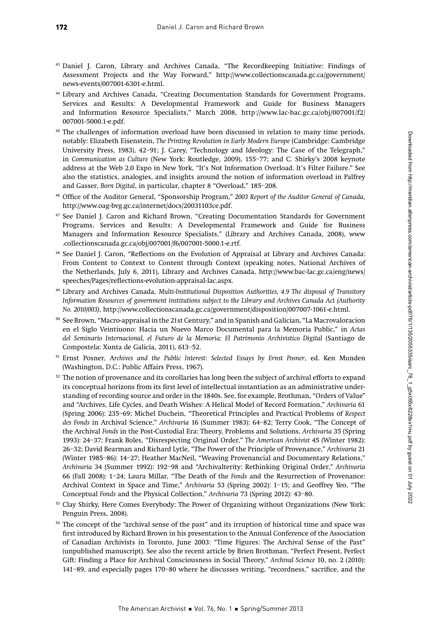- <sup>43</sup> Daniel J. Caron, Library and Archives Canada, "The Recordkeeping Initiative: Findings of Assessment Projects and the Way Forward," http://www.collectionscanada.gc.ca/government/ news-events/007001-6301-e.html.
- <sup>44</sup> Library and Archives Canada, "Creating Documentation Standards for Government Programs, Services and Results: A Developmental Framework and Guide for Business Managers and Information Resource Specialists," March 2008, http://www.lac-bac.gc.ca/obj/007001/f2/ 007001-5000.1-e.pdf.
- <sup>45</sup> The challenges of information overload have been discussed in relation to many time periods, notably: Elizabeth Eisenstein, The Printing Revolution in Early Modern Europe (Cambridge: Cambridge University Press, 1983), 42–91; J. Carey, "Technology and Ideology: The Case of the Telegraph," in Communication as Culture (New York: Routledge, 2009), 155–77; and C. Shirky's 2008 keynote address at the Web 2.0 Expo in New York, "It's Not Information Overload. It's Filter Failure." See also the statistics, analogies, and insights around the notion of information overload in Palfrey and Gasser, Born Digital, in particular, chapter 8 "Overload," 185–208.
- <sup>46</sup> Office of the Auditor General, "Sponsorship Program," 2003 Report of the Auditor General of Canada, http://www.oag-bvg.gc.ca/internet/docs/20031103ce.pdf.
- <sup>47</sup> See Daniel J. Caron and Richard Brown, "Creating Documentation Standards for Government Programs, Services and Results: A Developmental Framework and Guide for Business Managers and Information Resource Specialists," (Library and Archives Canada, 2008), www .collectionscanada.gc.ca/obj/007001/f6/007001-5000.1-e.rtf.
- <sup>48</sup> See Daniel J. Caron, "Reflections on the Evolution of Appraisal at Library and Archives Canada: From Content to Context to Content through Context (speaking notes, National Archives of the Netherlands, July 6, 2011), Library and Archives Canada, http://www.bac-lac.gc.ca/eng/news/ speeches/Pages/reflections-evolution-appraisal-lac.aspx.
- <sup>49</sup> Library and Archives Canada, Multi-Institutional Disposition Authorities, 4.9 The disposal of Transitory Information Resources of government institutions subject to the Library and Archives Canada Act (Authority No. 2010/003), http://www.collectionscanada.gc.ca/government/disposition/007007-1061-e.html.
- <sup>50</sup> See Brown, "Macro-appraisal in the 21st Century," and in Spanish and Galician, "La Macrovaloracion en el Siglo Veintiuono: Hacia un Nuevo Marco Documental para la Memoria Public," in Actas del Seminario Internacional, el Futuro de la Memoria: El Patrimonio Archivistico Digital (Santiago de Compostela: Xunta de Galicia, 2011), 613–52.
- <sup>51</sup> Ernst Posner, Archives and the Public Interest: Selected Essays by Ernst Posner, ed. Ken Munden (Washington, D.C.: Public Affairs Press, 1967).
- $52$  The notion of provenance and its corollaries has long been the subject of archival efforts to expand its conceptual horizons from its first level of intellectual instantiation as an administrative understanding of recording source and order in the 1840s. See, for example, Brothman, "Orders of Value" and "Archives, Life Cycles, and Death Wishes: A Helical Model of Record Formation," Archivaria 61 (Spring 2006): 235–69; Michel Duchein, "Theoretical Principles and Practical Problems of Respect des Fonds in Archival Science," Archivaria 16 (Summer 1983): 64–82; Terry Cook, "The Concept of the Archival Fonds in the Post-Custodial Era: Theory, Problems and Solutions, Archivaria 35 (Spring 1993): 24–37; Frank Boles, "Disrespecting Original Order," The American Archivist 45 (Winter 1982): 26–32; David Bearman and Richard Lytle, "The Power of the Principle of Provenance," Archivaria 21 (Winter 1985–86): 14–27; Heather MacNeil, "Weaving Provenancial and Documentary Relations," Archivaria 34 (Summer 1992): 192–98 and "Archivalterity: Rethinking Original Order," Archivaria 66 (Fall 2008): 1–24; Laura Millar, "The Death of the Fonds and the Resurrection of Provenance: Archival Context in Space and Time," Archivaria 53 (Spring 2002): 1–15; and Geoffrey Yeo, "The Conceptual Fonds and the Physical Collection," Archivaria 73 (Spring 2012): 43–80.
- <sup>53</sup> Clay Shirky, Here Comes Everybody: The Power of Organizing without Organizations (New York: Penguin Press, 2008).
- <sup>54</sup> The concept of the "archival sense of the past" and its irruption of historical time and space was first introduced by Richard Brown in his presentation to the Annual Conference of the Association of Canadian Archivists in Toronto, June 2003: "Time Figures: The Archival Sense of the Past" (unpublished manuscript). See also the recent article by Brien Brothman, "Perfect Present, Perfect Gift: Finding a Place for Archival Consciousness in Social Theory," Archival Science 10, no. 2 (2010): 141–89, and especially pages 170–80 where he discusses writing, "recordness," sacrifice, and the